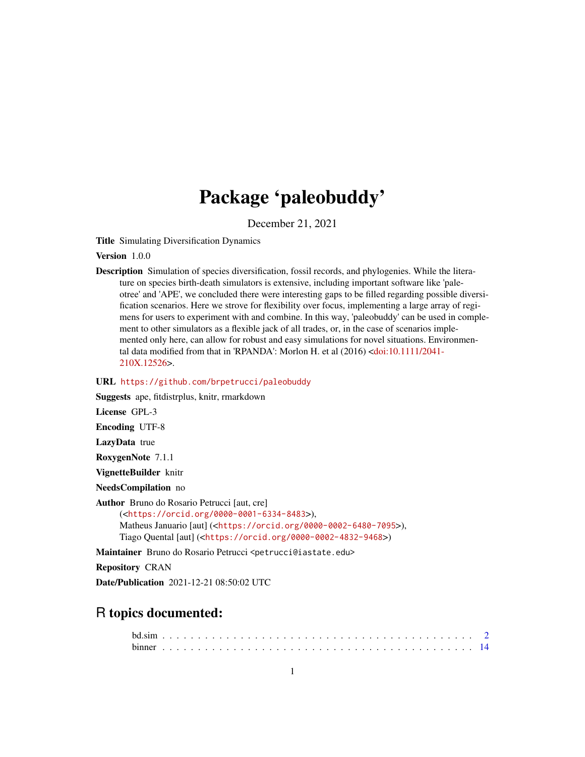# Package 'paleobuddy'

December 21, 2021

Title Simulating Diversification Dynamics

Version 1.0.0

Description Simulation of species diversification, fossil records, and phylogenies. While the literature on species birth-death simulators is extensive, including important software like 'paleotree' and 'APE', we concluded there were interesting gaps to be filled regarding possible diversification scenarios. Here we strove for flexibility over focus, implementing a large array of regimens for users to experiment with and combine. In this way, 'paleobuddy' can be used in complement to other simulators as a flexible jack of all trades, or, in the case of scenarios implemented only here, can allow for robust and easy simulations for novel situations. Environmental data modified from that in 'RPANDA': Morlon H. et al (2016) [<doi:10.1111/2041-](https://doi.org/10.1111/2041-210X.12526) [210X.12526>](https://doi.org/10.1111/2041-210X.12526).

# URL <https://github.com/brpetrucci/paleobuddy>

Suggests ape, fitdistrplus, knitr, rmarkdown

License GPL-3

Encoding UTF-8

LazyData true

RoxygenNote 7.1.1

VignetteBuilder knitr

NeedsCompilation no

Author Bruno do Rosario Petrucci [aut, cre] (<<https://orcid.org/0000-0001-6334-8483>>), Matheus Januario [aut] (<<https://orcid.org/0000-0002-6480-7095>>), Tiago Quental [aut] (<<https://orcid.org/0000-0002-4832-9468>>)

Maintainer Bruno do Rosario Petrucci <petrucci@iastate.edu>

Repository CRAN

Date/Publication 2021-12-21 08:50:02 UTC

# R topics documented: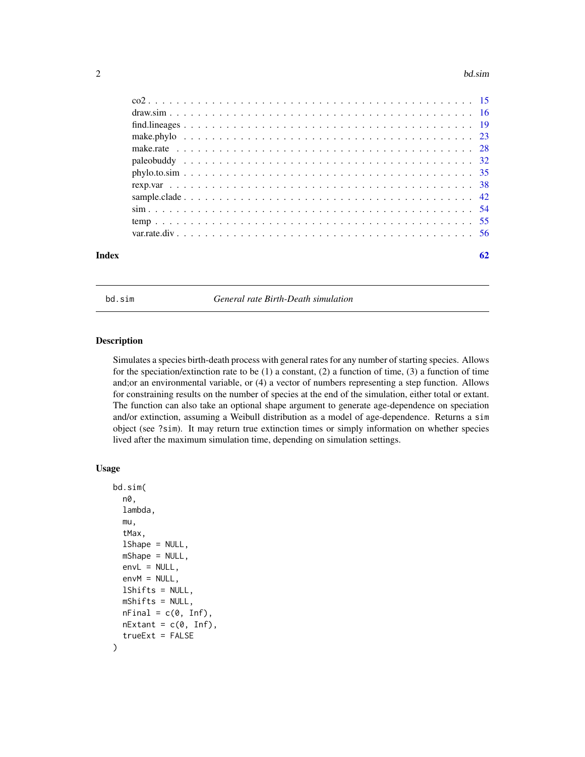# <span id="page-1-0"></span>2 bd.sim based on the contract of the contract of the contract of the contract of the contract of the contract of the contract of the contract of the contract of the contract of the contract of the contract of the contract

| Index |                     |  |  |  |  |  |  |  |  |  |  |  |  |  |  |  |  | 62 |
|-------|---------------------|--|--|--|--|--|--|--|--|--|--|--|--|--|--|--|--|----|
|       |                     |  |  |  |  |  |  |  |  |  |  |  |  |  |  |  |  |    |
|       |                     |  |  |  |  |  |  |  |  |  |  |  |  |  |  |  |  |    |
|       |                     |  |  |  |  |  |  |  |  |  |  |  |  |  |  |  |  |    |
|       |                     |  |  |  |  |  |  |  |  |  |  |  |  |  |  |  |  |    |
|       |                     |  |  |  |  |  |  |  |  |  |  |  |  |  |  |  |  |    |
|       | $phylo. to . sim35$ |  |  |  |  |  |  |  |  |  |  |  |  |  |  |  |  |    |
|       |                     |  |  |  |  |  |  |  |  |  |  |  |  |  |  |  |  |    |
|       |                     |  |  |  |  |  |  |  |  |  |  |  |  |  |  |  |  |    |
|       |                     |  |  |  |  |  |  |  |  |  |  |  |  |  |  |  |  |    |
|       |                     |  |  |  |  |  |  |  |  |  |  |  |  |  |  |  |  |    |
|       |                     |  |  |  |  |  |  |  |  |  |  |  |  |  |  |  |  |    |
|       |                     |  |  |  |  |  |  |  |  |  |  |  |  |  |  |  |  |    |

bd.sim *General rate Birth-Death simulation*

# Description

Simulates a species birth-death process with general rates for any number of starting species. Allows for the speciation/extinction rate to be  $(1)$  a constant,  $(2)$  a function of time,  $(3)$  a function of time and;or an environmental variable, or (4) a vector of numbers representing a step function. Allows for constraining results on the number of species at the end of the simulation, either total or extant. The function can also take an optional shape argument to generate age-dependence on speciation and/or extinction, assuming a Weibull distribution as a model of age-dependence. Returns a sim object (see ?sim). It may return true extinction times or simply information on whether species lived after the maximum simulation time, depending on simulation settings.

# Usage

```
bd.sim(
  n0,
  lambda,
 mu,
  tMax,
  lShape = NULL,
 mShape = NULL,
  envL = NULL,envM = NULL,
  lShifts = NULL,
 mShifts = NULL,
 nFinal = c(0, Inf),
  nExtant = c(0, Inf),trueExt = FALSE
)
```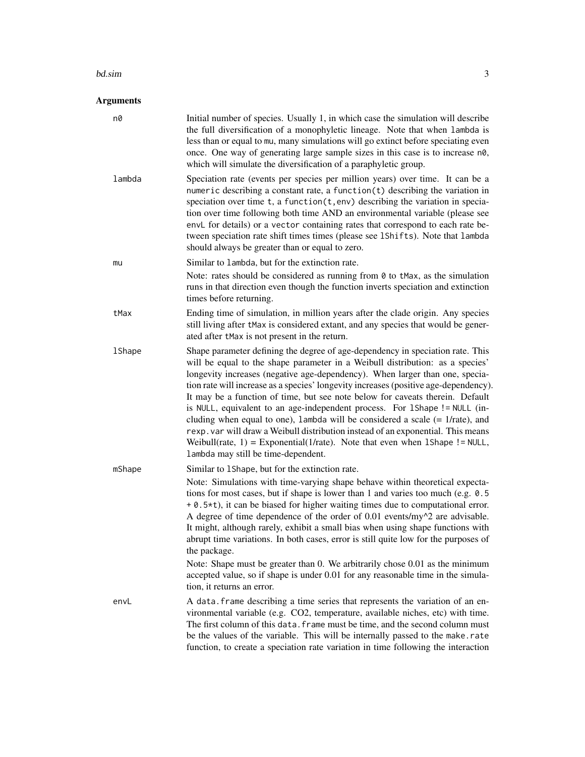# bd.sim 3

# Arguments

| n0            | Initial number of species. Usually 1, in which case the simulation will describe<br>the full diversification of a monophyletic lineage. Note that when lambda is<br>less than or equal to mu, many simulations will go extinct before speciating even<br>once. One way of generating large sample sizes in this case is to increase n0,<br>which will simulate the diversification of a paraphyletic group.                                                                                                                                                                                                                                                                                                                                                                                             |
|---------------|---------------------------------------------------------------------------------------------------------------------------------------------------------------------------------------------------------------------------------------------------------------------------------------------------------------------------------------------------------------------------------------------------------------------------------------------------------------------------------------------------------------------------------------------------------------------------------------------------------------------------------------------------------------------------------------------------------------------------------------------------------------------------------------------------------|
| lambda        | Speciation rate (events per species per million years) over time. It can be a<br>numeric describing a constant rate, a function(t) describing the variation in<br>speciation over time $t$ , a function $(t, env)$ describing the variation in specia-<br>tion over time following both time AND an environmental variable (please see<br>envL for details) or a vector containing rates that correspond to each rate be-<br>tween speciation rate shift times times (please see 1Shifts). Note that lambda<br>should always be greater than or equal to zero.                                                                                                                                                                                                                                          |
| mu            | Similar to lambda, but for the extinction rate.                                                                                                                                                                                                                                                                                                                                                                                                                                                                                                                                                                                                                                                                                                                                                         |
|               | Note: rates should be considered as running from 0 to tMax, as the simulation<br>runs in that direction even though the function inverts speciation and extinction<br>times before returning.                                                                                                                                                                                                                                                                                                                                                                                                                                                                                                                                                                                                           |
| tMax          | Ending time of simulation, in million years after the clade origin. Any species<br>still living after tMax is considered extant, and any species that would be gener-<br>ated after tMax is not present in the return.                                                                                                                                                                                                                                                                                                                                                                                                                                                                                                                                                                                  |
| <b>1Shape</b> | Shape parameter defining the degree of age-dependency in speciation rate. This<br>will be equal to the shape parameter in a Weibull distribution: as a species'<br>longevity increases (negative age-dependency). When larger than one, specia-<br>tion rate will increase as a species' longevity increases (positive age-dependency).<br>It may be a function of time, but see note below for caveats therein. Default<br>is NULL, equivalent to an age-independent process. For 1Shape != NULL (in-<br>cluding when equal to one), lambda will be considered a scale $(= 1/rate)$ , and<br>rexp. var will draw a Weibull distribution instead of an exponential. This means<br>Weibull(rate, $1$ ) = Exponential(1/rate). Note that even when 1Shape != NULL,<br>lambda may still be time-dependent. |
| mShape        | Similar to 1Shape, but for the extinction rate.<br>Note: Simulations with time-varying shape behave within theoretical expecta-<br>tions for most cases, but if shape is lower than 1 and varies too much (e.g. 0.5)<br>+ 0.5*t), it can be biased for higher waiting times due to computational error.<br>A degree of time dependence of the order of $0.01$ events/my $^2$ are advisable.<br>It might, although rarely, exhibit a small bias when using shape functions with<br>abrupt time variations. In both cases, error is still quite low for the purposes of<br>the package.                                                                                                                                                                                                                   |
|               | Note: Shape must be greater than 0. We arbitrarily chose 0.01 as the minimum<br>accepted value, so if shape is under 0.01 for any reasonable time in the simula-<br>tion, it returns an error.                                                                                                                                                                                                                                                                                                                                                                                                                                                                                                                                                                                                          |
| envL          | A data. frame describing a time series that represents the variation of an en-<br>vironmental variable (e.g. CO2, temperature, available niches, etc) with time.<br>The first column of this data. frame must be time, and the second column must<br>be the values of the variable. This will be internally passed to the make.rate<br>function, to create a speciation rate variation in time following the interaction                                                                                                                                                                                                                                                                                                                                                                                |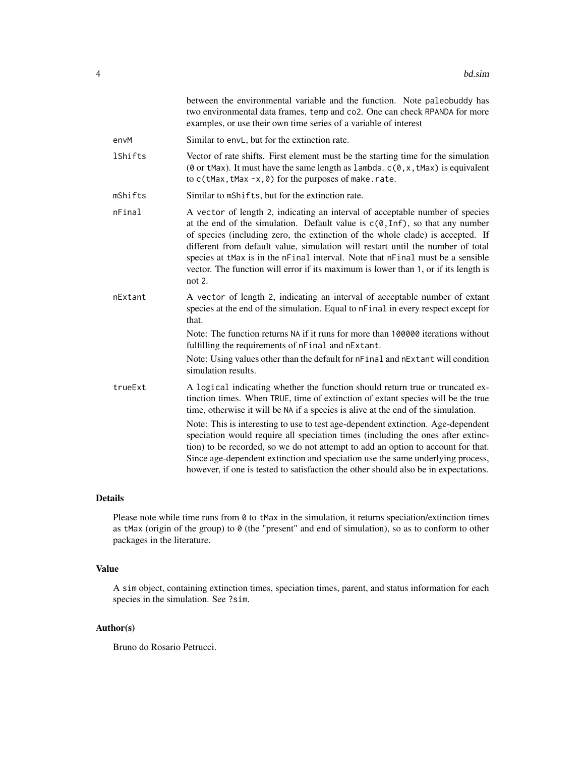|                | between the environmental variable and the function. Note paleobuddy has<br>two environmental data frames, temp and co2. One can check RPANDA for more<br>examples, or use their own time series of a variable of interest                                                                                                                                                                                                                                                                                                             |
|----------------|----------------------------------------------------------------------------------------------------------------------------------------------------------------------------------------------------------------------------------------------------------------------------------------------------------------------------------------------------------------------------------------------------------------------------------------------------------------------------------------------------------------------------------------|
| envM           | Similar to envL, but for the extinction rate.                                                                                                                                                                                                                                                                                                                                                                                                                                                                                          |
| <b>1Shifts</b> | Vector of rate shifts. First element must be the starting time for the simulation<br>( $\theta$ or tMax). It must have the same length as lambda. $c(\theta, x, t$ Max) is equivalent<br>to $c$ (tMax, tMax -x, 0) for the purposes of make.rate.                                                                                                                                                                                                                                                                                      |
| mShifts        | Similar to mShifts, but for the extinction rate.                                                                                                                                                                                                                                                                                                                                                                                                                                                                                       |
| nFinal         | A vector of length 2, indicating an interval of acceptable number of species<br>at the end of the simulation. Default value is $c(\theta, \text{Inf})$ , so that any number<br>of species (including zero, the extinction of the whole clade) is accepted. If<br>different from default value, simulation will restart until the number of total<br>species at tMax is in the nFinal interval. Note that nFinal must be a sensible<br>vector. The function will error if its maximum is lower than 1, or if its length is<br>not $2$ . |
| nExtant        | A vector of length 2, indicating an interval of acceptable number of extant<br>species at the end of the simulation. Equal to nFinal in every respect except for<br>that.                                                                                                                                                                                                                                                                                                                                                              |
|                | Note: The function returns NA if it runs for more than 100000 iterations without<br>fulfilling the requirements of nFinal and nExtant.                                                                                                                                                                                                                                                                                                                                                                                                 |
|                | Note: Using values other than the default for nFinal and nExtant will condition<br>simulation results.                                                                                                                                                                                                                                                                                                                                                                                                                                 |
| trueExt        | A logical indicating whether the function should return true or truncated ex-<br>tinction times. When TRUE, time of extinction of extant species will be the true<br>time, otherwise it will be NA if a species is alive at the end of the simulation.                                                                                                                                                                                                                                                                                 |
|                | Note: This is interesting to use to test age-dependent extinction. Age-dependent<br>speciation would require all speciation times (including the ones after extinc-<br>tion) to be recorded, so we do not attempt to add an option to account for that.<br>Since age-dependent extinction and speciation use the same underlying process,<br>however, if one is tested to satisfaction the other should also be in expectations.                                                                                                       |

# Details

Please note while time runs from 0 to tMax in the simulation, it returns speciation/extinction times as tMax (origin of the group) to 0 (the "present" and end of simulation), so as to conform to other packages in the literature.

# Value

A sim object, containing extinction times, speciation times, parent, and status information for each species in the simulation. See ?sim.

# Author(s)

Bruno do Rosario Petrucci.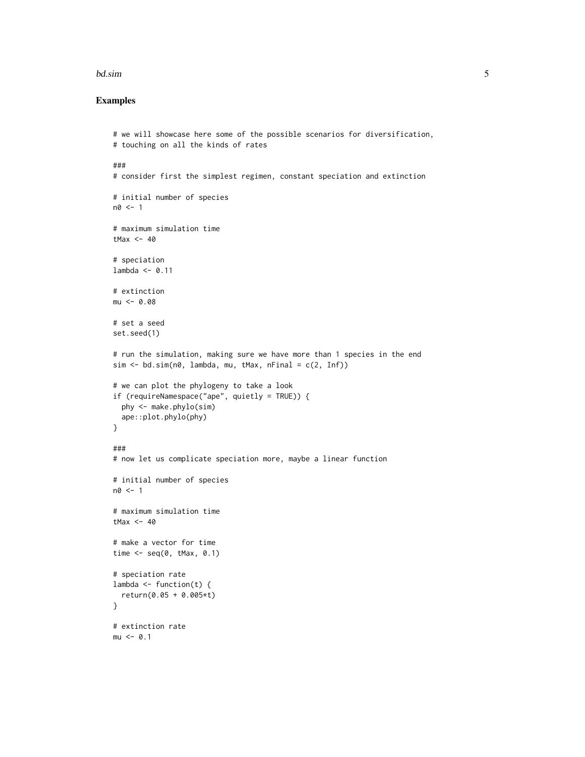# bd.sim 5

```
# we will showcase here some of the possible scenarios for diversification,
# touching on all the kinds of rates
###
# consider first the simplest regimen, constant speciation and extinction
# initial number of species
n0 < -1# maximum simulation time
tMax <-40# speciation
lambda < -0.11# extinction
mu < -0.08# set a seed
set.seed(1)
# run the simulation, making sure we have more than 1 species in the end
sim < -bd.sim(n0, lambda, mu, tMax, nFinal = c(2, Inf))# we can plot the phylogeny to take a look
if (requireNamespace("ape", quietly = TRUE)) {
  phy <- make.phylo(sim)
  ape::plot.phylo(phy)
}
###
# now let us complicate speciation more, maybe a linear function
# initial number of species
n0 < -1# maximum simulation time
tMax <-40# make a vector for time
time \leq seq(0, tMax, 0.1)
# speciation rate
lambda \leq function(t) {
  return(0.05 + 0.005*t)
}
# extinction rate
mu < -0.1
```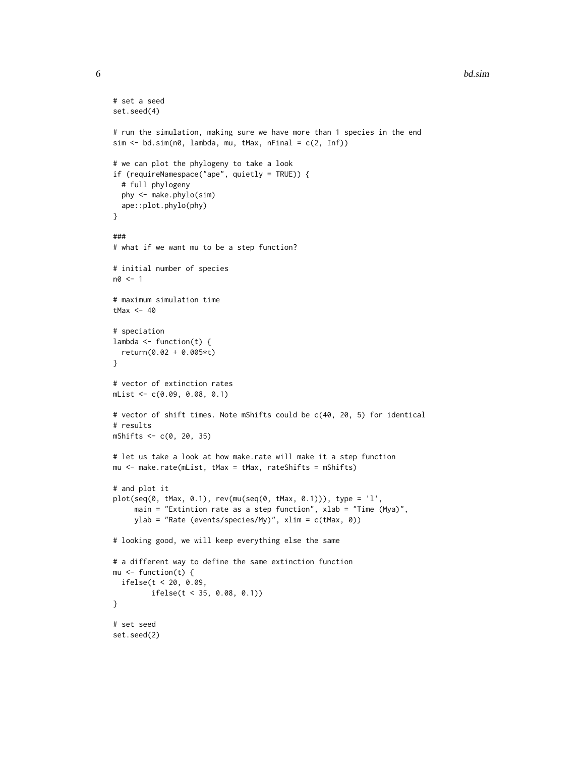```
# set a seed
set.seed(4)
# run the simulation, making sure we have more than 1 species in the end
sim < -bd.sim(n\theta, lambda, mu, tMax, nFinal = c(2, Inf))# we can plot the phylogeny to take a look
if (requireNamespace("ape", quietly = TRUE)) {
  # full phylogeny
  phy <- make.phylo(sim)
  ape::plot.phylo(phy)
}
###
# what if we want mu to be a step function?
# initial number of species
n0 <- 1
# maximum simulation time
tMax <-40# speciation
lambda \leq function(t) {
  return(0.02 + 0.005*t)
}
# vector of extinction rates
mList <- c(0.09, 0.08, 0.1)
# vector of shift times. Note mShifts could be c(40, 20, 5) for identical
# results
mShifts <- c(0, 20, 35)
# let us take a look at how make.rate will make it a step function
mu <- make.rate(mList, tMax = tMax, rateShifts = mShifts)
# and plot it
plot(seq(0, tMax, 0.1), rev(mu(seq(0, tMax, 0.1))), type = 'l',
     main = "Extintion rate as a step function", xlab = "Time (Mya)",
     ylab = "Rate (events/species/My)", xlim = c(tMax, 0))
# looking good, we will keep everything else the same
# a different way to define the same extinction function
mu \leftarrow function(t) {
  ifelse(t < 20, 0.09,
         ifelse(t < 35, 0.08, 0.1))
}
# set seed
set.seed(2)
```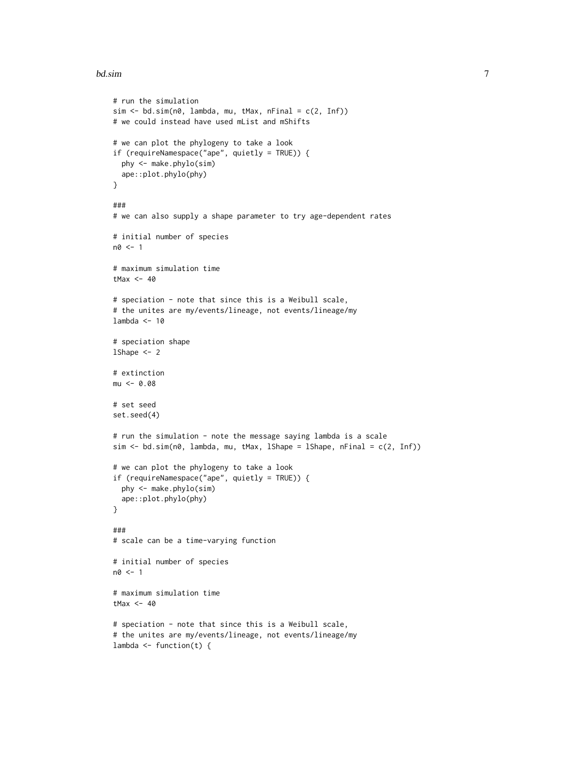# bd.sim and the contract of the contract of the contract of the contract of the contract of the contract of the contract of the contract of the contract of the contract of the contract of the contract of the contract of the

```
# run the simulation
sim < bd.sim(n0, lambda, mu, tMax, nFinal = c(2, Inf))
# we could instead have used mList and mShifts
# we can plot the phylogeny to take a look
if (requireNamespace("ape", quietly = TRUE)) {
  phy <- make.phylo(sim)
  ape::plot.phylo(phy)
}
###
# we can also supply a shape parameter to try age-dependent rates
# initial number of species
n0 <- 1
# maximum simulation time
tMax <-40# speciation - note that since this is a Weibull scale,
# the unites are my/events/lineage, not events/lineage/my
lambda <-10# speciation shape
1Shape <-2# extinction
mu < -0.08# set seed
set.seed(4)
# run the simulation - note the message saying lambda is a scale
sim <- bd.sim(n0, lambda, mu, tMax, lShape = lShape, nFinal = c(2, Inf))
# we can plot the phylogeny to take a look
if (requireNamespace("ape", quietly = TRUE)) {
  phy <- make.phylo(sim)
  ape::plot.phylo(phy)
}
###
# scale can be a time-varying function
# initial number of species
n0 <- 1
# maximum simulation time
tMax <-40# speciation - note that since this is a Weibull scale,
# the unites are my/events/lineage, not events/lineage/my
lambda \leq function(t) {
```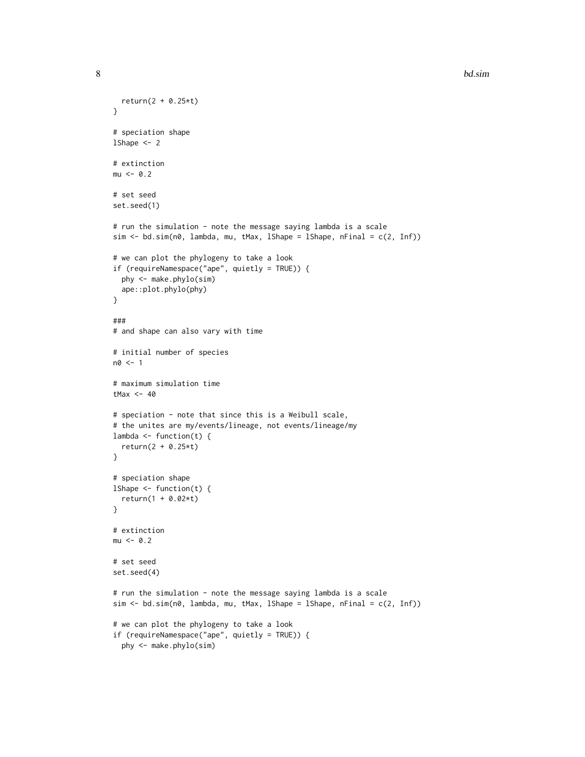```
8 bd.sim and the state of the state of the state of the state of the state of the state of the state of the state of the state of the state of the state of the state of the state of the state of the state of the state of t
```

```
return(2 + 0.25*t)}
# speciation shape
lShape <- 2
# extinction
mu < -0.2# set seed
set.seed(1)
# run the simulation - note the message saying lambda is a scale
sim \le bd.sim(n0, lambda, mu, tMax, lShape = lShape, nFinal = c(2, Inf))
# we can plot the phylogeny to take a look
if (requireNamespace("ape", quietly = TRUE)) {
  phy <- make.phylo(sim)
  ape::plot.phylo(phy)
}
###
# and shape can also vary with time
# initial number of species
n0 <- 1
# maximum simulation time
tMax <-40# speciation - note that since this is a Weibull scale,
# the unites are my/events/lineage, not events/lineage/my
lambda \leq function(t) {
  return(2 + 0.25*t)
}
# speciation shape
lShape <- function(t) {
  return(1 + 0.02*t)
}
# extinction
mu < -0.2# set seed
set.seed(4)
# run the simulation - note the message saying lambda is a scale
sim <- bd.sim(n0, lambda, mu, tMax, lShape = lShape, nFinal = c(2, Inf))
# we can plot the phylogeny to take a look
if (requireNamespace("ape", quietly = TRUE)) {
  phy <- make.phylo(sim)
```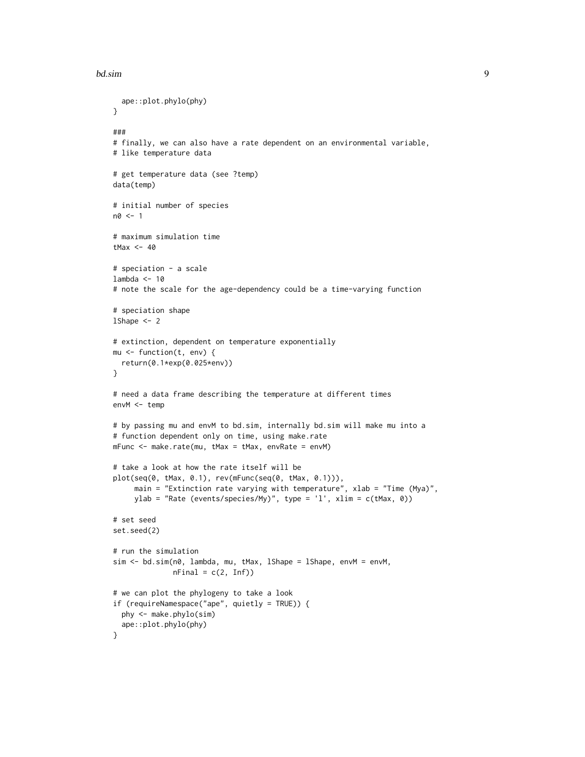# bd.sim **9**

```
ape::plot.phylo(phy)
}
###
# finally, we can also have a rate dependent on an environmental variable,
# like temperature data
# get temperature data (see ?temp)
data(temp)
# initial number of species
n0 < -1# maximum simulation time
tMax <-40# speciation - a scale
lambda <-10# note the scale for the age-dependency could be a time-varying function
# speciation shape
1Shape <-2# extinction, dependent on temperature exponentially
mu <- function(t, env) {
  return(0.1*exp(0.025*env))
}
# need a data frame describing the temperature at different times
envM <- temp
# by passing mu and envM to bd.sim, internally bd.sim will make mu into a
# function dependent only on time, using make.rate
mFunc <- make.rate(mu, tMax = tMax, envRate = envM)
# take a look at how the rate itself will be
plot(seq(0, tMax, 0.1), rev(mFunc(seq(0, tMax, 0.1))),
     main = "Extinction rate varying with temperature", xlab = "Time (Mya)",
     ylab = "Rate (events/species/My)", type = 'l', xlim = c(tMax, 0))
# set seed
set.seed(2)
# run the simulation
sim <- bd.sim(n0, lambda, mu, tMax, lShape = lShape, envM = envM,
              nFinal = c(2, Inf)# we can plot the phylogeny to take a look
if (requireNamespace("ape", quietly = TRUE)) {
  phy <- make.phylo(sim)
  ape::plot.phylo(phy)
}
```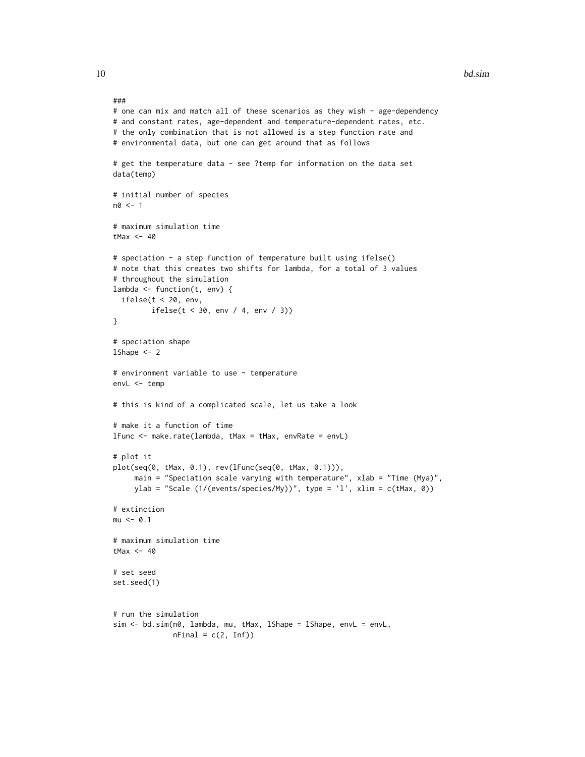```
###
# one can mix and match all of these scenarios as they wish - age-dependency
# and constant rates, age-dependent and temperature-dependent rates, etc.
# the only combination that is not allowed is a step function rate and
# environmental data, but one can get around that as follows
# get the temperature data - see ?temp for information on the data set
data(temp)
# initial number of species
n0 < -1# maximum simulation time
tMax <-40# speciation - a step function of temperature built using ifelse()
# note that this creates two shifts for lambda, for a total of 3 values
# throughout the simulation
lambda <- function(t, env) {
  ifelse(t < 20, env,ifelse(t < 30, env / 4, env / 3))
}
# speciation shape
1Shape <-2# environment variable to use - temperature
envL <- temp
# this is kind of a complicated scale, let us take a look
# make it a function of time
lFunc <- make.rate(lambda, tMax = tMax, envRate = envL)
# plot it
plot(seq(0, tMax, 0.1), rev(lFunc(seq(0, tMax, 0.1))),
     main = "Speciation scale varying with temperature", xlab = "Time (Mya)",
     ylab = "Scale (1/(events/species/My))", type = 'l', xlim = c(tMax, 0))
# extinction
mu < -0.1# maximum simulation time
tMax <-40# set seed
set.seed(1)
# run the simulation
sim <- bd.sim(n0, lambda, mu, tMax, lShape = lShape, envL = envL,
              nFinal = c(2, Inf)
```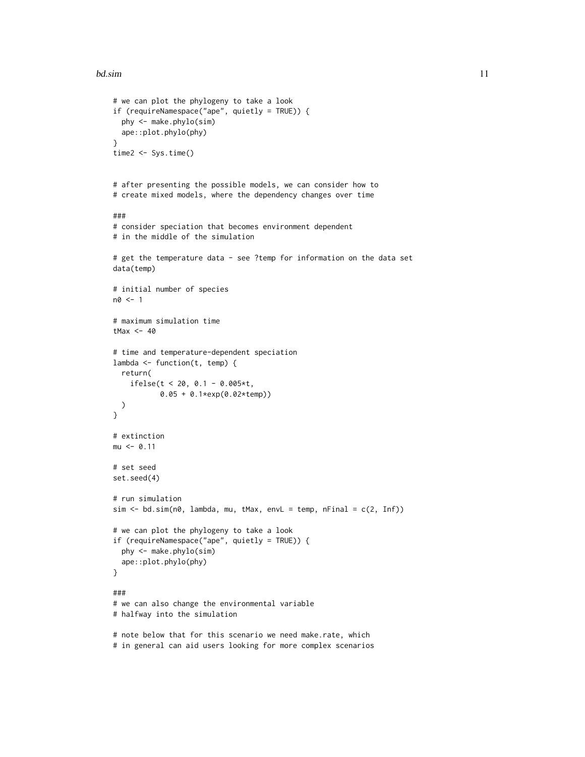# bd.sim and the state of the state of the state of the state of the state of the state of the state of the state of the state of the state of the state of the state of the state of the state of the state of the state of the

```
# we can plot the phylogeny to take a look
if (requireNamespace("ape", quietly = TRUE)) {
  phy <- make.phylo(sim)
 ape::plot.phylo(phy)
}
time2 <- Sys.time()
# after presenting the possible models, we can consider how to
# create mixed models, where the dependency changes over time
###
# consider speciation that becomes environment dependent
# in the middle of the simulation
# get the temperature data - see ?temp for information on the data set
data(temp)
# initial number of species
n0 <- 1
# maximum simulation time
tMax <-40# time and temperature-dependent speciation
lambda <- function(t, temp) {
  return(
    ifelse(t < 20, 0.1 - 0.005*t,
           0.05 + 0.1*exp(0.02*temp))
  )
}
# extinction
mu < -0.11# set seed
set.seed(4)
# run simulation
sim < -bd.sim(n\theta, lambda, mu, tMax, envL = temp, nFinal = c(2, Inf))
# we can plot the phylogeny to take a look
if (requireNamespace("ape", quietly = TRUE)) {
  phy <- make.phylo(sim)
  ape::plot.phylo(phy)
}
###
# we can also change the environmental variable
# halfway into the simulation
# note below that for this scenario we need make.rate, which
# in general can aid users looking for more complex scenarios
```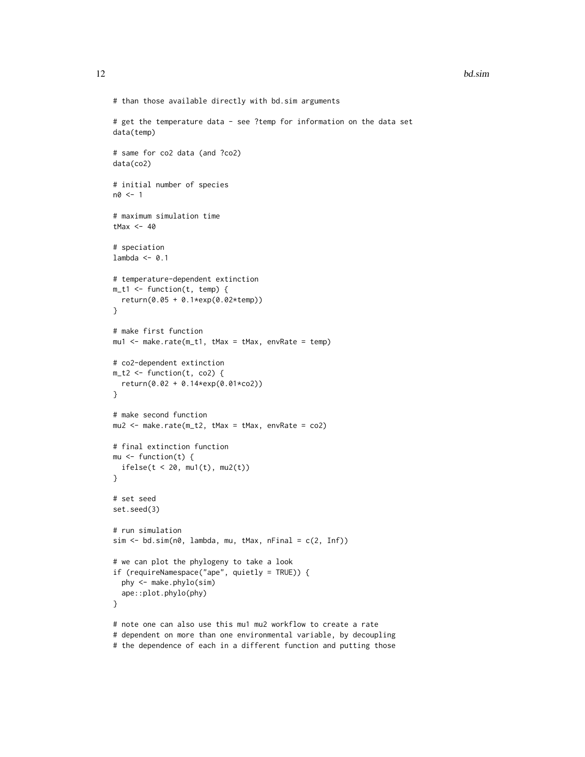```
# than those available directly with bd.sim arguments
# get the temperature data - see ?temp for information on the data set
data(temp)
# same for co2 data (and ?co2)
data(co2)
# initial number of species
n0 < -1# maximum simulation time
tMax <-40# speciation
lambda < -0.1# temperature-dependent extinction
m_t1 <- function(t, temp) {
  return(0.05 + 0.1*exp(0.02*temp))
}
# make first function
mu1 <- make.rate(m_t1, tMax = tMax, envRate = temp)
# co2-dependent extinction
m_t2 <- function(t, co2) {
  return(0.02 + 0.14*exp(0.01*co2))
}
# make second function
mu2 <- make.rate(m_t2, tMax = tMax, envRate = co2)
# final extinction function
mu \leftarrow function(t) {
  ifelse(t < 20, mu1(t), mu2(t))
}
# set seed
set.seed(3)
# run simulation
sim <- bd.sim(n0, lambda, mu, tMax, nFinal = c(2, Inf))
# we can plot the phylogeny to take a look
if (requireNamespace("ape", quietly = TRUE)) {
  phy <- make.phylo(sim)
  ape::plot.phylo(phy)
}
# note one can also use this mu1 mu2 workflow to create a rate
# dependent on more than one environmental variable, by decoupling
```
# the dependence of each in a different function and putting those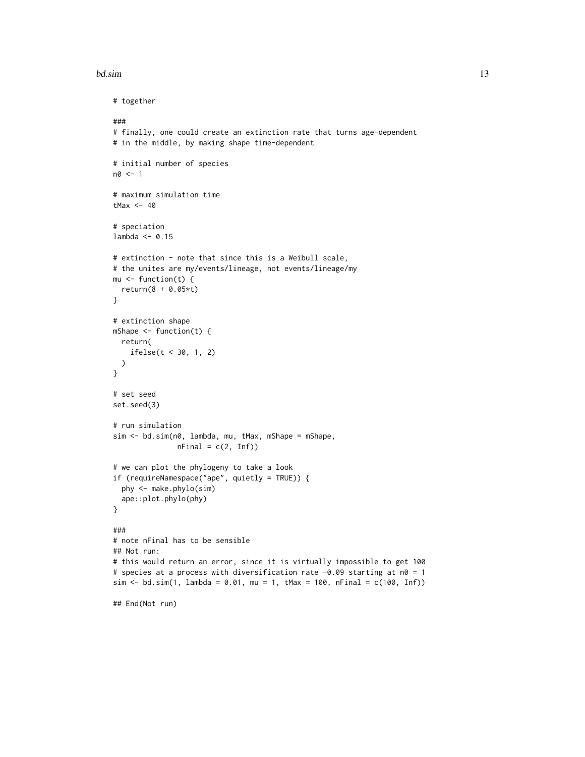# bd.sim and the state of the state of the state of the state of the state of the state of the state of the state of the state of the state of the state of the state of the state of the state of the state of the state of the

```
# together
###
# finally, one could create an extinction rate that turns age-dependent
# in the middle, by making shape time-dependent
# initial number of species
n0 <- 1
# maximum simulation time
tMax <-40# speciation
lambda < -0.15# extinction - note that since this is a Weibull scale,
# the unites are my/events/lineage, not events/lineage/my
mu <- function(t) {
  return(8 + 0.05*t)
}
# extinction shape
mShape <- function(t) {
  return(
    ifelse(t < 30, 1, 2)
  )
}
# set seed
set.seed(3)
# run simulation
sim <- bd.sim(n0, lambda, mu, tMax, mShape = mShape,
               nFinal = c(2, Inf)# we can plot the phylogeny to take a look
if (requireNamespace("ape", quietly = TRUE)) {
  phy <- make.phylo(sim)
  ape::plot.phylo(phy)
}
###
# note nFinal has to be sensible
## Not run:
# this would return an error, since it is virtually impossible to get 100
# species at a process with diversification rate -0.09 starting at n0 = 1
sim \le bd.sim(1, lambda = 0.01, mu = 1, tMax = 100, nFinal = c(100, Inf))
## End(Not run)
```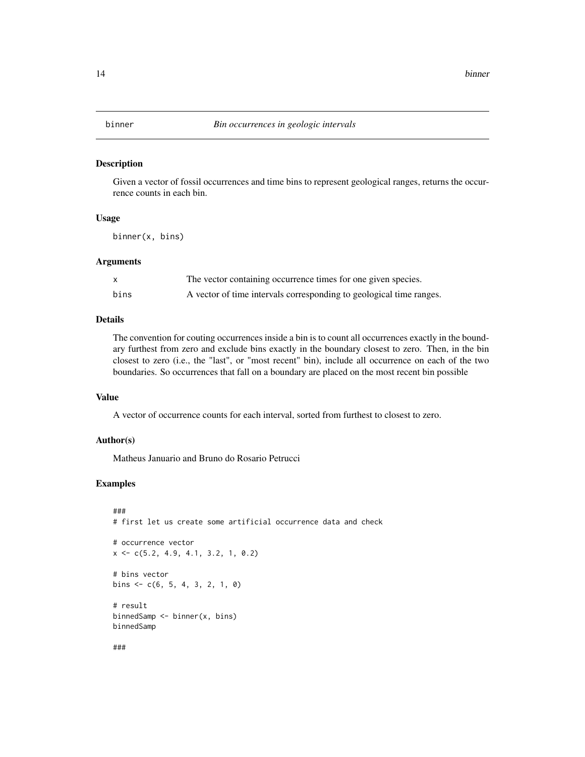<span id="page-13-0"></span>

#### Description

Given a vector of fossil occurrences and time bins to represent geological ranges, returns the occurrence counts in each bin.

# Usage

binner(x, bins)

# Arguments

| X    | The vector containing occurrence times for one given species.       |
|------|---------------------------------------------------------------------|
| bins | A vector of time intervals corresponding to geological time ranges. |

# Details

The convention for couting occurrences inside a bin is to count all occurrences exactly in the boundary furthest from zero and exclude bins exactly in the boundary closest to zero. Then, in the bin closest to zero (i.e., the "last", or "most recent" bin), include all occurrence on each of the two boundaries. So occurrences that fall on a boundary are placed on the most recent bin possible

# Value

A vector of occurrence counts for each interval, sorted from furthest to closest to zero.

# Author(s)

Matheus Januario and Bruno do Rosario Petrucci

```
###
# first let us create some artificial occurrence data and check
# occurrence vector
x <- c(5.2, 4.9, 4.1, 3.2, 1, 0.2)
# bins vector
bins \leq -c(6, 5, 4, 3, 2, 1, 0)# result
binnedSamp <- binner(x, bins)
binnedSamp
###
```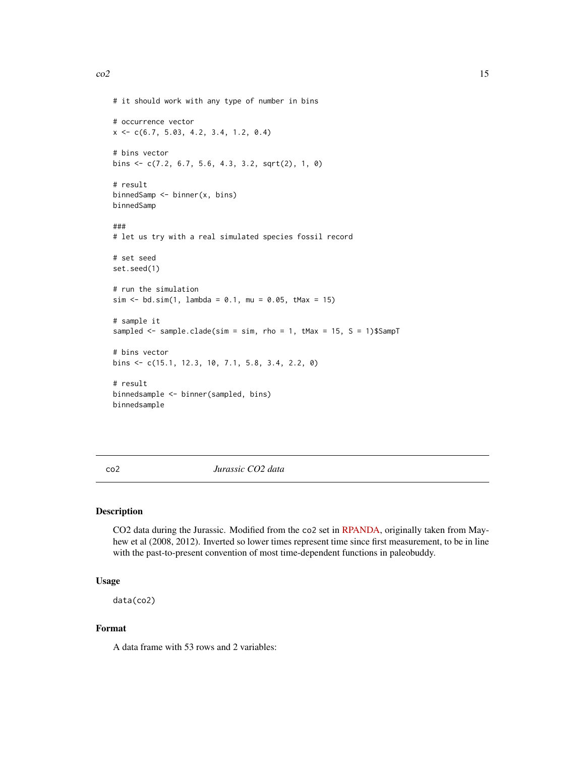```
# it should work with any type of number in bins
# occurrence vector
x \leq -c(6.7, 5.03, 4.2, 3.4, 1.2, 0.4)# bins vector
bins <- c(7.2, 6.7, 5.6, 4.3, 3.2, sqrt(2), 1, 0)
# result
binnedSamp <- binner(x, bins)
binnedSamp
###
# let us try with a real simulated species fossil record
# set seed
set.seed(1)
# run the simulation
sim < -bd.sim(1, lambda = 0.1, mu = 0.05, tMax = 15)# sample it
sampled <- sample.clade(sim = sim, rho = 1, tMax = 15, S = 1)$SampT
# bins vector
bins <- c(15.1, 12.3, 10, 7.1, 5.8, 3.4, 2.2, 0)
# result
binnedsample <- binner(sampled, bins)
binnedsample
```
co2 *Jurassic CO2 data*

# Description

CO2 data during the Jurassic. Modified from the co2 set in [RPANDA,](https://github.com/hmorlon/PANDA) originally taken from Mayhew et al (2008, 2012). Inverted so lower times represent time since first measurement, to be in line with the past-to-present convention of most time-dependent functions in paleobuddy.

# Usage

data(co2)

# Format

A data frame with 53 rows and 2 variables: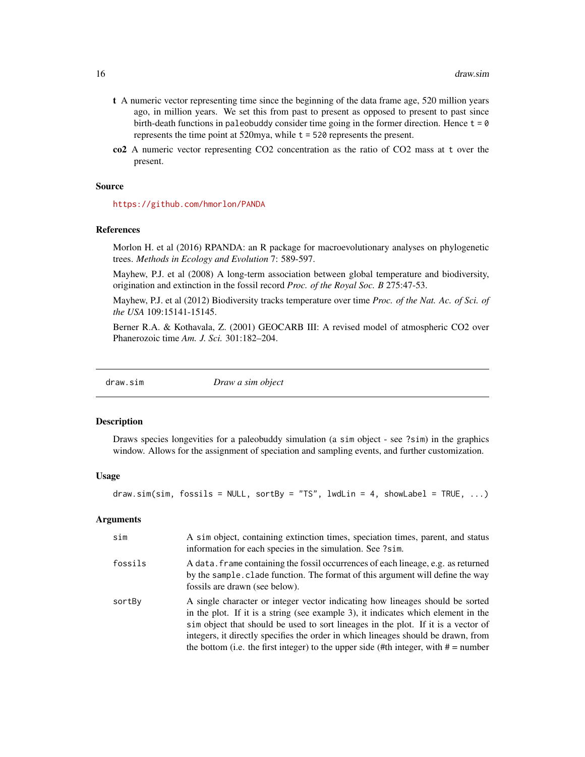- <span id="page-15-0"></span>t A numeric vector representing time since the beginning of the data frame age, 520 million years ago, in million years. We set this from past to present as opposed to present to past since birth-death functions in paleobuddy consider time going in the former direction. Hence  $t = 0$ represents the time point at 520mya, while t = 520 represents the present.
- co2 A numeric vector representing CO2 concentration as the ratio of CO2 mass at t over the present.

#### Source

<https://github.com/hmorlon/PANDA>

#### References

Morlon H. et al (2016) RPANDA: an R package for macroevolutionary analyses on phylogenetic trees. *Methods in Ecology and Evolution* 7: 589-597.

Mayhew, P.J. et al (2008) A long-term association between global temperature and biodiversity, origination and extinction in the fossil record *Proc. of the Royal Soc. B* 275:47-53.

Mayhew, P.J. et al (2012) Biodiversity tracks temperature over time *Proc. of the Nat. Ac. of Sci. of the USA* 109:15141-15145.

Berner R.A. & Kothavala, Z. (2001) GEOCARB III: A revised model of atmospheric CO2 over Phanerozoic time *Am. J. Sci.* 301:182–204.

| Draw a sim object |
|-------------------|
|-------------------|

# **Description**

Draws species longevities for a paleobuddy simulation (a sim object - see ?sim) in the graphics window. Allows for the assignment of speciation and sampling events, and further customization.

#### Usage

draw.sim(sim, fossils = NULL, sortBy = "TS", lwdLin = 4, showLabel = TRUE,  $\ldots$ )

# Arguments

| sim     | A sim object, containing extinction times, speciation times, parent, and status<br>information for each species in the simulation. See ?sim.                                                                                                                                                                                                                                                                                          |
|---------|---------------------------------------------------------------------------------------------------------------------------------------------------------------------------------------------------------------------------------------------------------------------------------------------------------------------------------------------------------------------------------------------------------------------------------------|
| fossils | A data. frame containing the fossil occurrences of each lineage, e.g. as returned<br>by the sample clade function. The format of this argument will define the way<br>fossils are drawn (see below).                                                                                                                                                                                                                                  |
| sortBy  | A single character or integer vector indicating how lineages should be sorted<br>in the plot. If it is a string (see example 3), it indicates which element in the<br>sim object that should be used to sort lineages in the plot. If it is a vector of<br>integers, it directly specifies the order in which lineages should be drawn, from<br>the bottom (i.e. the first integer) to the upper side (#th integer, with $# =$ number |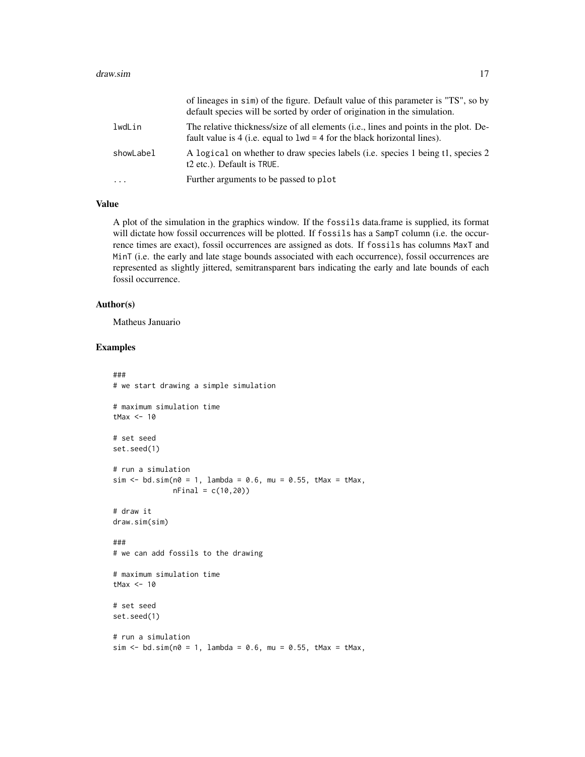|           | of lineages in sim) of the figure. Default value of this parameter is "TS", so by<br>default species will be sorted by order of origination in the simulation.              |
|-----------|-----------------------------------------------------------------------------------------------------------------------------------------------------------------------------|
| lwdLin    | The relative thickness/size of all elements ( <i>i.e.</i> , lines and points in the plot. De-<br>fault value is 4 (i.e. equal to $1wd = 4$ for the black horizontal lines). |
| showLabel | A logical on whether to draw species labels (i.e. species 1 being t1, species 2<br>t <sub>2</sub> etc.). Default is TRUE.                                                   |
| .         | Further arguments to be passed to plot                                                                                                                                      |

# Value

A plot of the simulation in the graphics window. If the fossils data.frame is supplied, its format will dictate how fossil occurrences will be plotted. If fossils has a SampT column (i.e. the occurrence times are exact), fossil occurrences are assigned as dots. If fossils has columns MaxT and MinT (i.e. the early and late stage bounds associated with each occurrence), fossil occurrences are represented as slightly jittered, semitransparent bars indicating the early and late bounds of each fossil occurrence.

# Author(s)

Matheus Januario

```
###
# we start drawing a simple simulation
# maximum simulation time
tMax <-10# set seed
set.seed(1)
# run a simulation
sim \le bd.sim(n0 = 1, lambda = 0.6, mu = 0.55, tMax = tMax,
             nFinal = c(10,20))
# draw it
draw.sim(sim)
###
# we can add fossils to the drawing
# maximum simulation time
tMax <-10# set seed
set.seed(1)
# run a simulation
sim < bd.sim(n0 = 1, lambda = 0.6, mu = 0.55, tMax = tMax,
```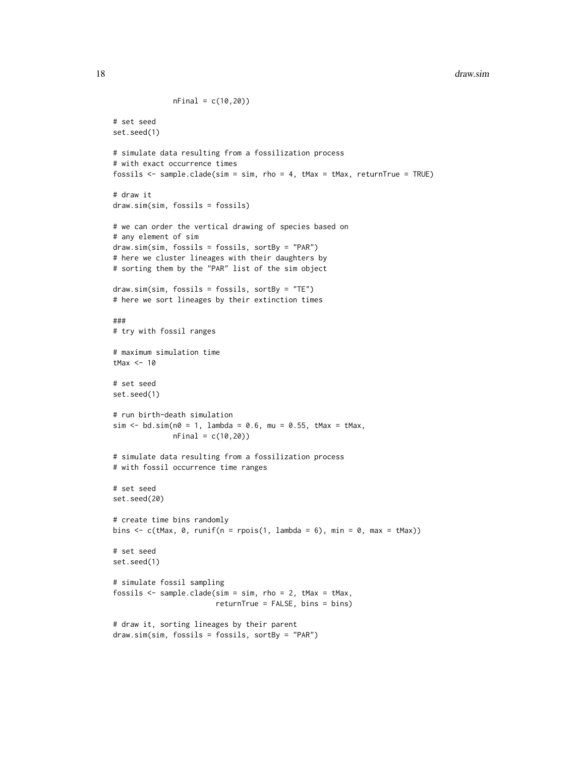# 18 draw.sim

```
nFinal = c(10, 20)# set seed
set.seed(1)
# simulate data resulting from a fossilization process
# with exact occurrence times
fossils <- sample.clade(sim = sim, rho = 4, tMax = tMax, returnTrue = TRUE)
# draw it
draw.sim(sim, fossils = fossils)
# we can order the vertical drawing of species based on
# any element of sim
draw.sim(sim, fossils = fossils, sortBy = "PAR")
# here we cluster lineages with their daughters by
# sorting them by the "PAR" list of the sim object
draw.sim(sim, fossils = fossils, sortBy = "TE")
# here we sort lineages by their extinction times
###
# try with fossil ranges
# maximum simulation time
tMax <-10# set seed
set.seed(1)
# run birth-death simulation
sim \le bd.sim(n0 = 1, lambda = 0.6, mu = 0.55, tMax = tMax,
              nFinal = c(10, 20)# simulate data resulting from a fossilization process
# with fossil occurrence time ranges
# set seed
set.seed(20)
# create time bins randomly
bins \leq c(tMax, 0, runif(n = rpois(1, lambda = 6), min = 0, max = tMax))
# set seed
set.seed(1)
# simulate fossil sampling
fossils <- sample.clade(sim = sim, rho = 2, tMax = tMax,
                        returnTrue = FALSE, bins = bins)
# draw it, sorting lineages by their parent
draw.sim(sim, fossils = fossils, sortBy = "PAR")
```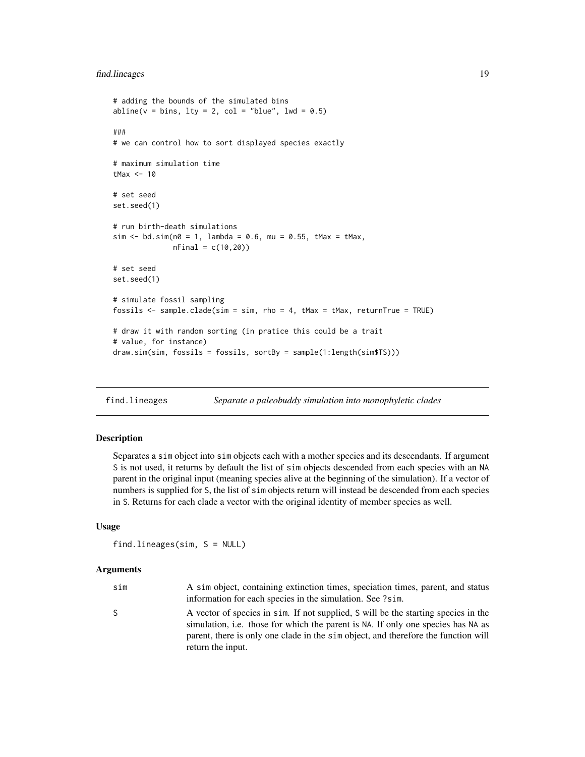# <span id="page-18-0"></span>find.lineages 19

```
# adding the bounds of the simulated bins
abline(v = bins, lty = 2, col = "blue", lwd = 0.5)###
# we can control how to sort displayed species exactly
# maximum simulation time
tMax <-10# set seed
set.seed(1)
# run birth-death simulations
sim \le bd.sim(n0 = 1, lambda = 0.6, mu = 0.55, tMax = tMax,
              nFinal = c(10, 20)# set seed
set.seed(1)
# simulate fossil sampling
fossils <- sample.clade(sim = sim, rho = 4, tMax = tMax, returnTrue = TRUE)
# draw it with random sorting (in pratice this could be a trait
# value, for instance)
draw.sim(sim, fossils = fossils, sortBy = sample(1:length(sim$TS)))
```
find.lineages *Separate a paleobuddy simulation into monophyletic clades*

# Description

Separates a sim object into sim objects each with a mother species and its descendants. If argument S is not used, it returns by default the list of sim objects descended from each species with an NA parent in the original input (meaning species alive at the beginning of the simulation). If a vector of numbers is supplied for S, the list of sim objects return will instead be descended from each species in S. Returns for each clade a vector with the original identity of member species as well.

# Usage

```
find.lineages(sim, S = NULL)
```
#### Arguments

| sim | A sim object, containing extinction times, speciation times, parent, and status<br>information for each species in the simulation. See ?sim.                                                                                                                                      |
|-----|-----------------------------------------------------------------------------------------------------------------------------------------------------------------------------------------------------------------------------------------------------------------------------------|
| S.  | A vector of species in sim. If not supplied, S will be the starting species in the<br>simulation, i.e. those for which the parent is NA. If only one species has NA as<br>parent, there is only one clade in the sim object, and therefore the function will<br>return the input. |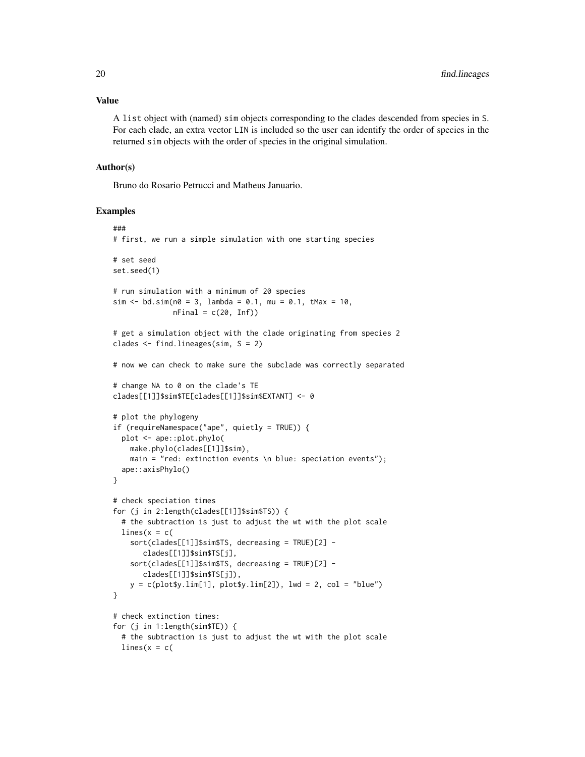# Value

A list object with (named) sim objects corresponding to the clades descended from species in S. For each clade, an extra vector LIN is included so the user can identify the order of species in the returned sim objects with the order of species in the original simulation.

# Author(s)

Bruno do Rosario Petrucci and Matheus Januario.

```
###
# first, we run a simple simulation with one starting species
# set seed
set.seed(1)
# run simulation with a minimum of 20 species
sim < -bd.sim(n0 = 3, lambda = 0.1, mu = 0.1, tMax = 10,
              nFinal = c(20, Inf)# get a simulation object with the clade originating from species 2
clades \le find. lineages(sim, S = 2)
# now we can check to make sure the subclade was correctly separated
# change NA to 0 on the clade's TE
clades[[1]]$sim$TE[clades[[1]]$sim$EXTANT] <- 0
# plot the phylogeny
if (requireNamespace("ape", quietly = TRUE)) {
  plot <- ape::plot.phylo(
    make.phylo(clades[[1]]$sim),
    main = "red: extinction events \n blue: speciation events");
  ape::axisPhylo()
}
# check speciation times
for (j in 2:length(clades[[1]]$sim$TS)) {
  # the subtraction is just to adjust the wt with the plot scale
  lines(x = c()sort(clades[[1]]$sim$TS, decreasing = TRUE)[2] -
       clades[[1]]$sim$TS[j],
    sort(clades[[1]]$sim$TS, decreasing = TRUE)[2] -
       clades[[1]]$sim$TS[j]),
   y = c(plot\y.lim[1], plot\y.lim[2]), lwd = 2, col = "blue")
}
# check extinction times:
for (j in 1:length(sim$TE)) {
  # the subtraction is just to adjust the wt with the plot scale
  lines(x = c)
```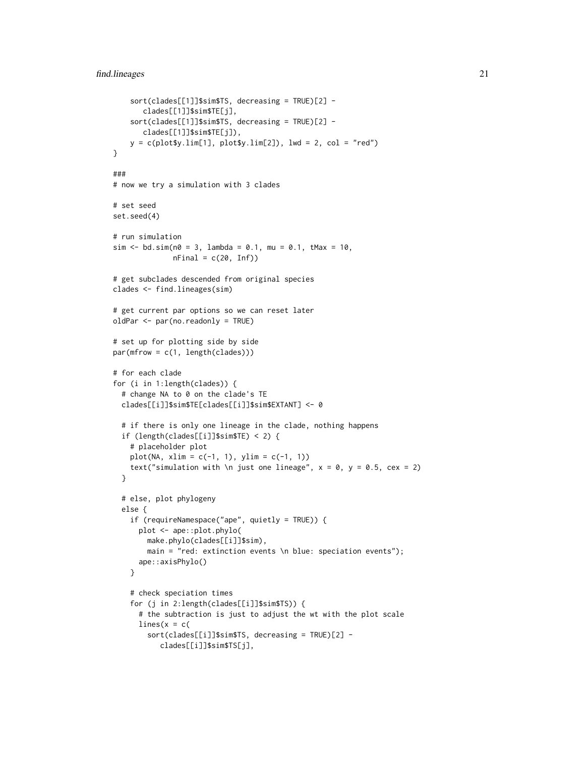# find.lineages 21

```
sort(clades[[1]]$sim$TS, decreasing = TRUE)[2] -
      clades[[1]]$sim$TE[j],
   sort(clades[[1]]$sim$TS, decreasing = TRUE)[2] -
      clades[[1]]$sim$TE[j]),
   y = c(plot\y.lim[1], plot\y.lim[2]), lwd = 2, col = "red")
}
###
# now we try a simulation with 3 clades
# set seed
set.seed(4)
# run simulation
sim <- bd.sim(n0 = 3, lambda = 0.1, mu = 0.1, tMax = 10,
             nFinal = c(20, Inf)# get subclades descended from original species
clades <- find.lineages(sim)
# get current par options so we can reset later
oldPar <- par(no.readonly = TRUE)
# set up for plotting side by side
par(mfrow = c(1, length(clades)))
# for each clade
for (i in 1:length(clades)) {
 # change NA to 0 on the clade's TE
 clades[[i]]$sim$TE[clades[[i]]$sim$EXTANT] <- 0
 # if there is only one lineage in the clade, nothing happens
 if (length(clades[[i]]$sim$TE) < 2) {
    # placeholder plot
   plot(NA, xlim = c(-1, 1), ylim = c(-1, 1))text("simulation with \n just one lineage", x = 0, y = 0.5, cex = 2)
 }
 # else, plot phylogeny
 else {
   if (requireNamespace("ape", quietly = TRUE)) {
     plot <- ape::plot.phylo(
       make.phylo(clades[[i]]$sim),
       main = "red: extinction events \n blue: speciation events");
     ape::axisPhylo()
    }
    # check speciation times
    for (j in 2:length(clades[[i]]$sim$TS)) {
     # the subtraction is just to adjust the wt with the plot scale
     lines(x = c)sort(clades[[i]]$sim$TS, decreasing = TRUE)[2] -
          clades[[i]]$sim$TS[j],
```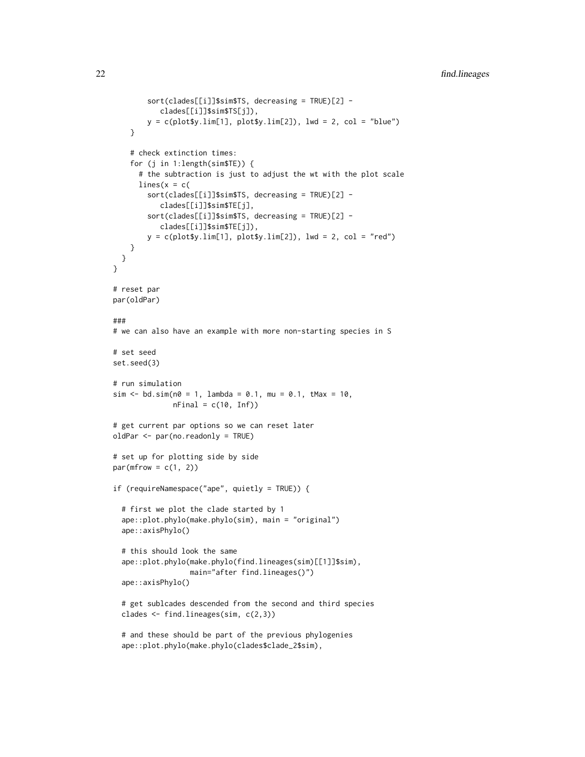```
sort(clades[[i]]$sim$TS, decreasing = TRUE)[2] -
           clades[[i]]$sim$TS[j]),
       y = c(plot $y.lim[1], plot $y.lim[2]), lwd = 2, col = "blue")}
    # check extinction times:
    for (j in 1:length(sim$TE)) {
     # the subtraction is just to adjust the wt with the plot scale
     lines(x = c)sort(clades[[i]]$sim$TS, decreasing = TRUE)[2] -
           clades[[i]]$sim$TE[j],
       sort(clades[[i]]$sim$TS, decreasing = TRUE)[2] -
           clades[[i]]$sim$TE[j]),
       y = c(plot\y.lim[1], plot\y.lim[2]), lwd = 2, col = "red")
   }
 }
}
# reset par
par(oldPar)
###
# we can also have an example with more non-starting species in S
# set seed
set.seed(3)
# run simulation
sim <- bd.sim(n0 = 1, lambda = 0.1, mu = 0.1, tMax = 10,
             nFinal = c(10, Inf)# get current par options so we can reset later
oldPar <- par(no.readonly = TRUE)
# set up for plotting side by side
par(mfrow = c(1, 2))if (requireNamespace("ape", quietly = TRUE)) {
 # first we plot the clade started by 1
 ape::plot.phylo(make.phylo(sim), main = "original")
 ape::axisPhylo()
 # this should look the same
 ape::plot.phylo(make.phylo(find.lineages(sim)[[1]]$sim),
                 main="after find.lineages()")
 ape::axisPhylo()
 # get sublcades descended from the second and third species
 clades <- find.lineages(sim, c(2,3))
 # and these should be part of the previous phylogenies
```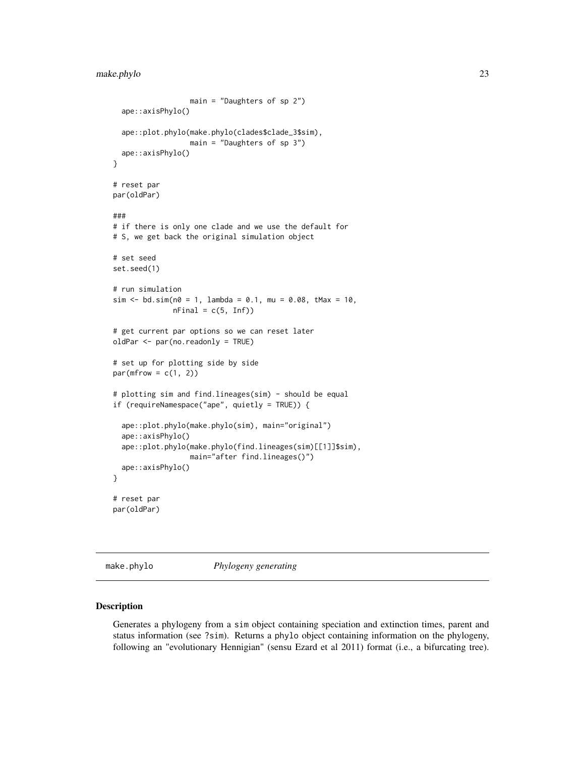# <span id="page-22-0"></span>make.phylo 23

```
main = "Daughters of sp 2")
 ape::axisPhylo()
 ape::plot.phylo(make.phylo(clades$clade_3$sim),
                  main = "Daughters of sp 3")
 ape::axisPhylo()
}
# reset par
par(oldPar)
###
# if there is only one clade and we use the default for
# S, we get back the original simulation object
# set seed
set.seed(1)
# run simulation
sim < -bd.sim(n0 = 1, lambda = 0.1, mu = 0.08, tMax = 10,
             nFinal = c(5, Inf)# get current par options so we can reset later
oldPar <- par(no.readonly = TRUE)
# set up for plotting side by side
par(mfrow = c(1, 2))# plotting sim and find.lineages(sim) - should be equal
if (requireNamespace("ape", quietly = TRUE)) {
 ape::plot.phylo(make.phylo(sim), main="original")
 ape::axisPhylo()
 ape::plot.phylo(make.phylo(find.lineages(sim)[[1]]$sim),
                  main="after find.lineages()")
 ape::axisPhylo()
}
# reset par
par(oldPar)
```
make.phylo *Phylogeny generating*

# Description

Generates a phylogeny from a sim object containing speciation and extinction times, parent and status information (see ?sim). Returns a phylo object containing information on the phylogeny, following an "evolutionary Hennigian" (sensu Ezard et al 2011) format (i.e., a bifurcating tree).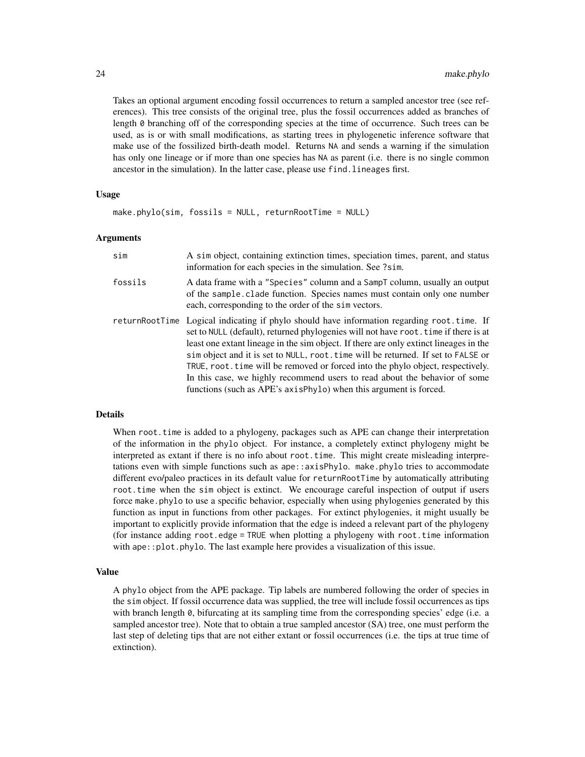Takes an optional argument encoding fossil occurrences to return a sampled ancestor tree (see references). This tree consists of the original tree, plus the fossil occurrences added as branches of length 0 branching off of the corresponding species at the time of occurrence. Such trees can be used, as is or with small modifications, as starting trees in phylogenetic inference software that make use of the fossilized birth-death model. Returns NA and sends a warning if the simulation has only one lineage or if more than one species has NA as parent (i.e. there is no single common ancestor in the simulation). In the latter case, please use find.lineages first.

# Usage

```
make.phplo(<math>sim</math>, <math>fossils = NULL</math>, <math>returnRootTime = NULL</math>)
```
# Arguments

| sim     | A sim object, containing extinction times, speciation times, parent, and status<br>information for each species in the simulation. See ?sim.                                                                                                                                                                                                                                                                                                                                                                                                                                                          |
|---------|-------------------------------------------------------------------------------------------------------------------------------------------------------------------------------------------------------------------------------------------------------------------------------------------------------------------------------------------------------------------------------------------------------------------------------------------------------------------------------------------------------------------------------------------------------------------------------------------------------|
| fossils | A data frame with a "Species" column and a SampT column, usually an output<br>of the sample clade function. Species names must contain only one number<br>each, corresponding to the order of the simulators.                                                                                                                                                                                                                                                                                                                                                                                         |
|         | returnRootTime Logical indicating if phylo should have information regarding root.time. If<br>set to NULL (default), returned phylogenies will not have root. time if there is at<br>least one extant lineage in the sim object. If there are only extinct lineages in the<br>sim object and it is set to NULL, root. time will be returned. If set to FALSE or<br>TRUE, root. time will be removed or forced into the phylo object, respectively.<br>In this case, we highly recommend users to read about the behavior of some<br>functions (such as APE's axisPhylo) when this argument is forced. |

# Details

When root. time is added to a phylogeny, packages such as APE can change their interpretation of the information in the phylo object. For instance, a completely extinct phylogeny might be interpreted as extant if there is no info about root.time. This might create misleading interpretations even with simple functions such as ape::axisPhylo. make.phylo tries to accommodate different evo/paleo practices in its default value for returnRootTime by automatically attributing root.time when the sim object is extinct. We encourage careful inspection of output if users force make.phylo to use a specific behavior, especially when using phylogenies generated by this function as input in functions from other packages. For extinct phylogenies, it might usually be important to explicitly provide information that the edge is indeed a relevant part of the phylogeny (for instance adding root.edge = TRUE when plotting a phylogeny with root.time information with ape::plot.phylo. The last example here provides a visualization of this issue.

# Value

A phylo object from the APE package. Tip labels are numbered following the order of species in the sim object. If fossil occurrence data was supplied, the tree will include fossil occurrences as tips with branch length 0, bifurcating at its sampling time from the corresponding species' edge (i.e. a sampled ancestor tree). Note that to obtain a true sampled ancestor (SA) tree, one must perform the last step of deleting tips that are not either extant or fossil occurrences (i.e. the tips at true time of extinction).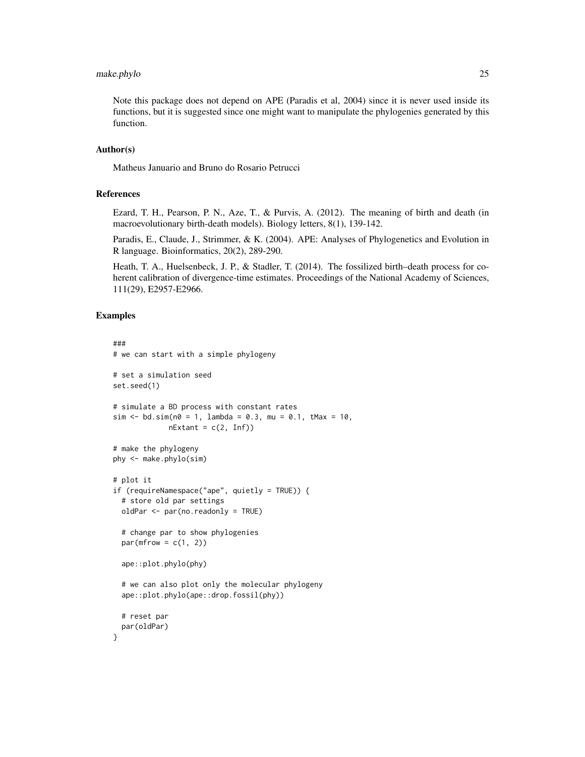# make.phylo 25

Note this package does not depend on APE (Paradis et al, 2004) since it is never used inside its functions, but it is suggested since one might want to manipulate the phylogenies generated by this function.

# Author(s)

Matheus Januario and Bruno do Rosario Petrucci

# References

Ezard, T. H., Pearson, P. N., Aze, T., & Purvis, A. (2012). The meaning of birth and death (in macroevolutionary birth-death models). Biology letters, 8(1), 139-142.

Paradis, E., Claude, J., Strimmer, & K. (2004). APE: Analyses of Phylogenetics and Evolution in R language. Bioinformatics, 20(2), 289-290.

Heath, T. A., Huelsenbeck, J. P., & Stadler, T. (2014). The fossilized birth–death process for coherent calibration of divergence-time estimates. Proceedings of the National Academy of Sciences, 111(29), E2957-E2966.

```
###
# we can start with a simple phylogeny
# set a simulation seed
set.seed(1)
# simulate a BD process with constant rates
sim <- bd.sim(n0 = 1, lambda = 0.3, mu = 0.1, tMax = 10,
             nExtant = c(2, Inf))# make the phylogeny
phy <- make.phylo(sim)
# plot it
if (requireNamespace("ape", quietly = TRUE)) {
 # store old par settings
 oldPar <- par(no.readonly = TRUE)
 # change par to show phylogenies
 par(mfrow = c(1, 2))ape::plot.phylo(phy)
 # we can also plot only the molecular phylogeny
 ape::plot.phylo(ape::drop.fossil(phy))
 # reset par
 par(oldPar)
}
```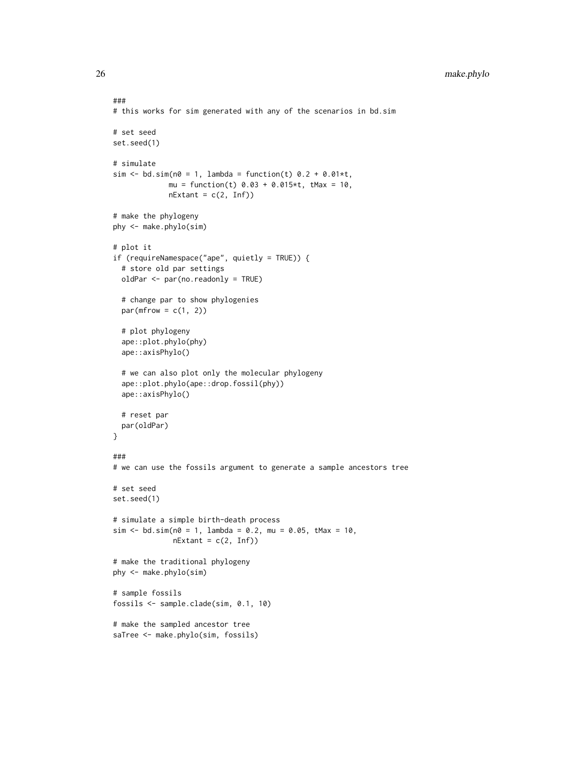```
26 make.phylo
```

```
###
# this works for sim generated with any of the scenarios in bd.sim
# set seed
set.seed(1)
# simulate
sim \le bd.sim(n0 = 1, lambda = function(t) 0.2 + 0.01*t,
             mu = function(t) 0.03 + 0.015*t, tMax = 10,
             nExtant = c(2, Inf)# make the phylogeny
phy <- make.phylo(sim)
# plot it
if (requireNamespace("ape", quietly = TRUE)) {
  # store old par settings
  oldPar <- par(no.readonly = TRUE)
  # change par to show phylogenies
  par(mfrow = c(1, 2))# plot phylogeny
  ape::plot.phylo(phy)
  ape::axisPhylo()
  # we can also plot only the molecular phylogeny
  ape::plot.phylo(ape::drop.fossil(phy))
  ape::axisPhylo()
  # reset par
  par(oldPar)
}
###
# we can use the fossils argument to generate a sample ancestors tree
# set seed
set.seed(1)
# simulate a simple birth-death process
sim <- bd.sim(n0 = 1, lambda = 0.2, mu = 0.05, tMax = 10,
              nExtant = c(2, Inf))# make the traditional phylogeny
phy <- make.phylo(sim)
# sample fossils
fossils <- sample.clade(sim, 0.1, 10)
# make the sampled ancestor tree
saTree <- make.phylo(sim, fossils)
```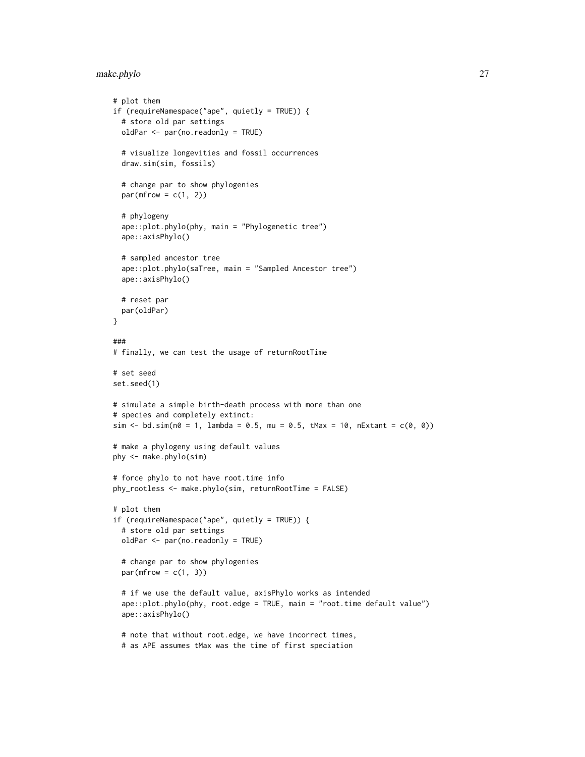# make.phylo 27

```
# plot them
if (requireNamespace("ape", quietly = TRUE)) {
  # store old par settings
  oldPar <- par(no.readonly = TRUE)
  # visualize longevities and fossil occurrences
  draw.sim(sim, fossils)
  # change par to show phylogenies
  par(mfrow = c(1, 2))# phylogeny
  ape::plot.phylo(phy, main = "Phylogenetic tree")
  ape::axisPhylo()
  # sampled ancestor tree
  ape::plot.phylo(saTree, main = "Sampled Ancestor tree")
  ape::axisPhylo()
  # reset par
  par(oldPar)
}
###
# finally, we can test the usage of returnRootTime
# set seed
set.seed(1)
# simulate a simple birth-death process with more than one
# species and completely extinct:
sim < bol.sim(n0 = 1, lambda = 0.5, mu = 0.5, tMax = 10, nExtant = c(0, 0))
# make a phylogeny using default values
phy <- make.phylo(sim)
# force phylo to not have root.time info
phy_rootless <- make.phylo(sim, returnRootTime = FALSE)
# plot them
if (requireNamespace("ape", quietly = TRUE)) {
  # store old par settings
  oldPar <- par(no.readonly = TRUE)
  # change par to show phylogenies
  par(mfrow = c(1, 3))# if we use the default value, axisPhylo works as intended
  ape::plot.phylo(phy, root.edge = TRUE, main = "root.time default value")
  ape::axisPhylo()
  # note that without root.edge, we have incorrect times,
  # as APE assumes tMax was the time of first speciation
```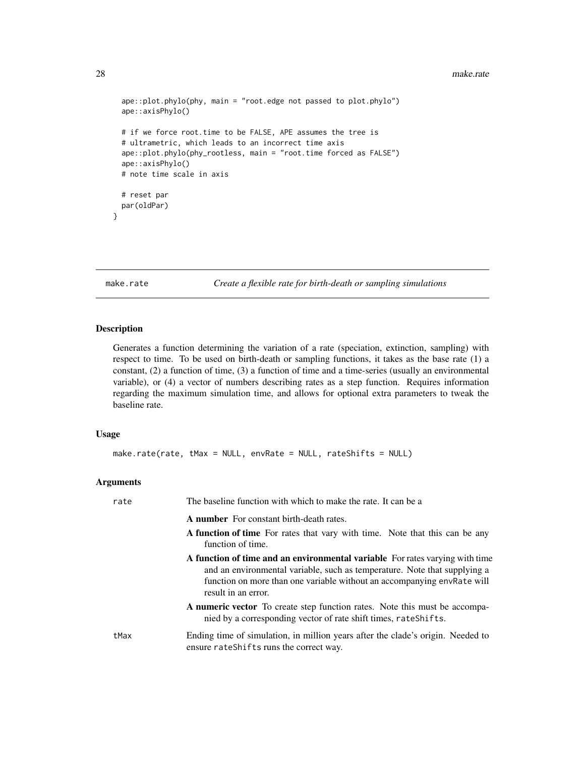```
ape::plot.phylo(phy, main = "root.edge not passed to plot.phylo")
ape::axisPhylo()
# if we force root.time to be FALSE, APE assumes the tree is
# ultrametric, which leads to an incorrect time axis
ape::plot.phylo(phy_rootless, main = "root.time forced as FALSE")
ape::axisPhylo()
# note time scale in axis
# reset par
par(oldPar)
```
}

make.rate *Create a flexible rate for birth-death or sampling simulations*

# Description

Generates a function determining the variation of a rate (speciation, extinction, sampling) with respect to time. To be used on birth-death or sampling functions, it takes as the base rate (1) a constant, (2) a function of time, (3) a function of time and a time-series (usually an environmental variable), or (4) a vector of numbers describing rates as a step function. Requires information regarding the maximum simulation time, and allows for optional extra parameters to tweak the baseline rate.

# Usage

```
make.rate(rate, tMax = NULL, envRate = NULL, rateShifts = NULL)
```
# Arguments

| rate | The baseline function with which to make the rate. It can be a                                                                                                                                                                                              |
|------|-------------------------------------------------------------------------------------------------------------------------------------------------------------------------------------------------------------------------------------------------------------|
|      | <b>A number</b> For constant birth-death rates.                                                                                                                                                                                                             |
|      | A function of time For rates that vary with time. Note that this can be any<br>function of time.                                                                                                                                                            |
|      | A function of time and an environmental variable For rates varying with time<br>and an environmental variable, such as temperature. Note that supplying a<br>function on more than one variable without an accompanying envRate will<br>result in an error. |
|      | A numeric vector To create step function rates. Note this must be accompa-<br>nied by a corresponding vector of rate shift times, rate Shifts.                                                                                                              |
| tMax | Ending time of simulation, in million years after the clade's origin. Needed to<br>ensure rateShifts runs the correct way.                                                                                                                                  |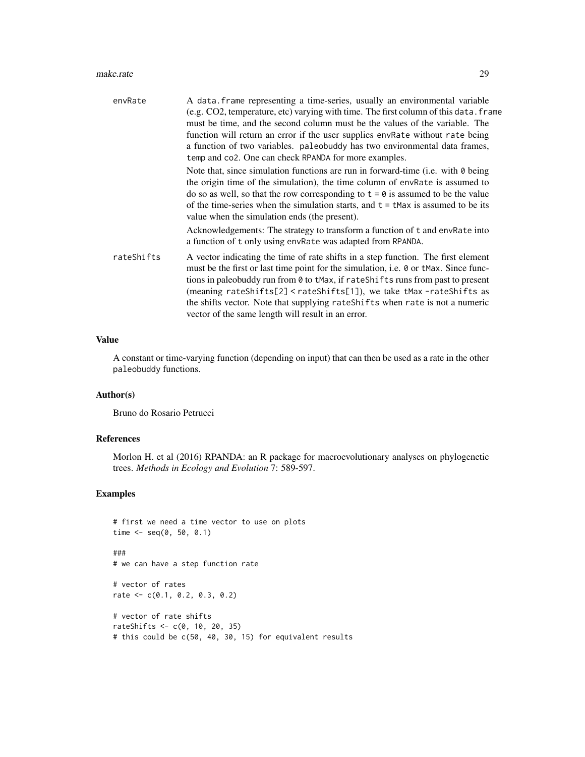# make.rate 29

| envRate    | A data frame representing a time-series, usually an environmental variable<br>(e.g. CO2, temperature, etc) varying with time. The first column of this data. frame<br>must be time, and the second column must be the values of the variable. The<br>function will return an error if the user supplies envRate without rate being<br>a function of two variables. paleobuddy has two environmental data frames,<br>temp and co2. One can check RPANDA for more examples.                                                                                              |
|------------|------------------------------------------------------------------------------------------------------------------------------------------------------------------------------------------------------------------------------------------------------------------------------------------------------------------------------------------------------------------------------------------------------------------------------------------------------------------------------------------------------------------------------------------------------------------------|
|            | Note that, since simulation functions are run in forward-time (i.e. with $\theta$ being<br>the origin time of the simulation), the time column of envRate is assumed to<br>do so as well, so that the row corresponding to $t = 0$ is assumed to be the value<br>of the time-series when the simulation starts, and $t = t$ Max is assumed to be its<br>value when the simulation ends (the present).<br>Acknowledgements: The strategy to transform a function of t and envRate into                                                                                  |
| rateShifts | a function of t only using envRate was adapted from RPANDA.<br>A vector indicating the time of rate shifts in a step function. The first element<br>must be the first or last time point for the simulation, i.e. 0 or tMax. Since func-<br>tions in paleobuddy run from 0 to tMax, if rateShifts runs from past to present<br>(meaning rateShifts[2] <rateshifts[1]), as<br="" take="" tmax-rateshifts="" we="">the shifts vector. Note that supplying rateShifts when rate is not a numeric<br/>vector of the same length will result in an error.</rateshifts[1]),> |

# Value

A constant or time-varying function (depending on input) that can then be used as a rate in the other paleobuddy functions.

# Author(s)

Bruno do Rosario Petrucci

# References

Morlon H. et al (2016) RPANDA: an R package for macroevolutionary analyses on phylogenetic trees. *Methods in Ecology and Evolution* 7: 589-597.

```
# first we need a time vector to use on plots
time \leq - seq(0, 50, 0.1)
###
# we can have a step function rate
# vector of rates
rate <- c(0.1, 0.2, 0.3, 0.2)
# vector of rate shifts
rateShifts <- c(0, 10, 20, 35)
# this could be c(50, 40, 30, 15) for equivalent results
```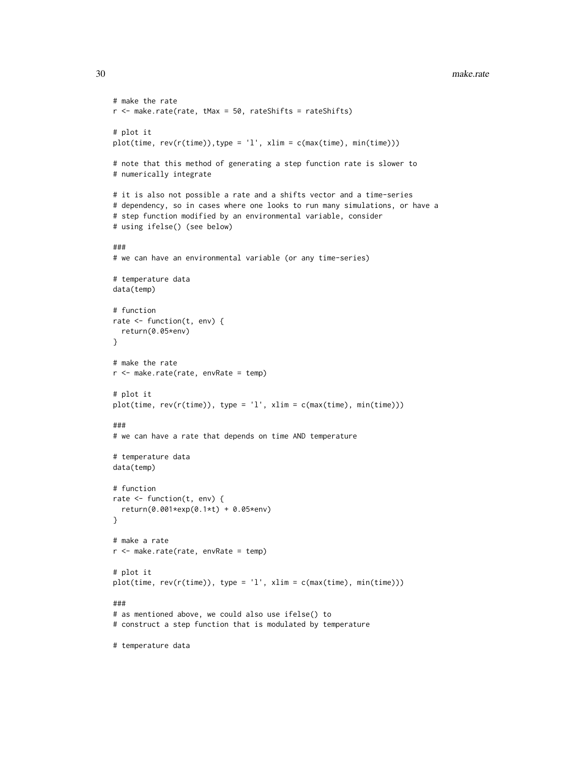```
# make the rate
r <- make.rate(rate, tMax = 50, rateShifts = rateShifts)
# plot it
plot(time, rev(r(time)),type = 'l', xlim = c(max(time), min(time)))# note that this method of generating a step function rate is slower to
# numerically integrate
# it is also not possible a rate and a shifts vector and a time-series
# dependency, so in cases where one looks to run many simulations, or have a
# step function modified by an environmental variable, consider
# using ifelse() (see below)
###
# we can have an environmental variable (or any time-series)
# temperature data
data(temp)
# function
rate <- function(t, env) {
 return(0.05*env)
}
# make the rate
r <- make.rate(rate, envRate = temp)
# plot it
plot(time, rev(r(time)), type = 'l', xlim = c(max(time), min(time)))
###
# we can have a rate that depends on time AND temperature
# temperature data
data(temp)
# function
rate <- function(t, env) {
 return(0.001*exp(0.1*t) + 0.05*env)
}
# make a rate
r <- make.rate(rate, envRate = temp)
# plot it
plot(time, rev(r(time)), type = 'l', xlim = c(max(time), min(time)))
###
# as mentioned above, we could also use ifelse() to
# construct a step function that is modulated by temperature
# temperature data
```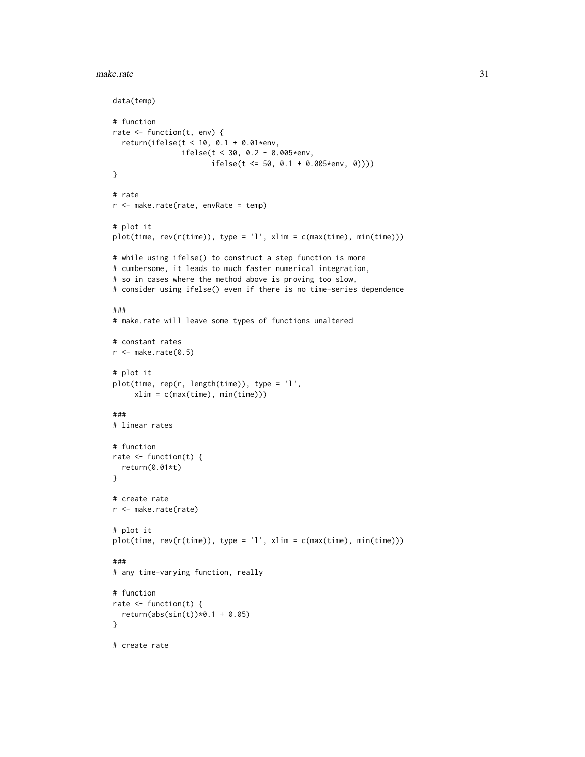```
make.rate 31
```

```
data(temp)
# function
rate <- function(t, env) {
  return(ifelse(t < 10, 0.1 + 0.01*env,
                ifelse(t < 30, 0.2 - 0.005*env,
                       ifelse(t <= 50, 0.1 + 0.005*env, 0))))
}
# rate
r <- make.rate(rate, envRate = temp)
# plot it
plot(time, rev(r(time)), type = 'l', xlim = c(max(time), min(time)))
# while using ifelse() to construct a step function is more
# cumbersome, it leads to much faster numerical integration,
# so in cases where the method above is proving too slow,
# consider using ifelse() even if there is no time-series dependence
###
# make.rate will leave some types of functions unaltered
# constant rates
r <- make.rate(0.5)
# plot it
plot(time, rep(r, length(time)), type = 'l',
    xlim = c(max(time), min(time)))
###
# linear rates
# function
rate \leq function(t) {
  return(0.01*t)
}
# create rate
r <- make.rate(rate)
# plot it
plot(time, rev(r(time)), type = 'l', xlim = c(max(time), min(time)))
###
# any time-varying function, really
# function
rate \leq function(t) {
  return(abs(sin(t)) * 0.1 + 0.05)}
# create rate
```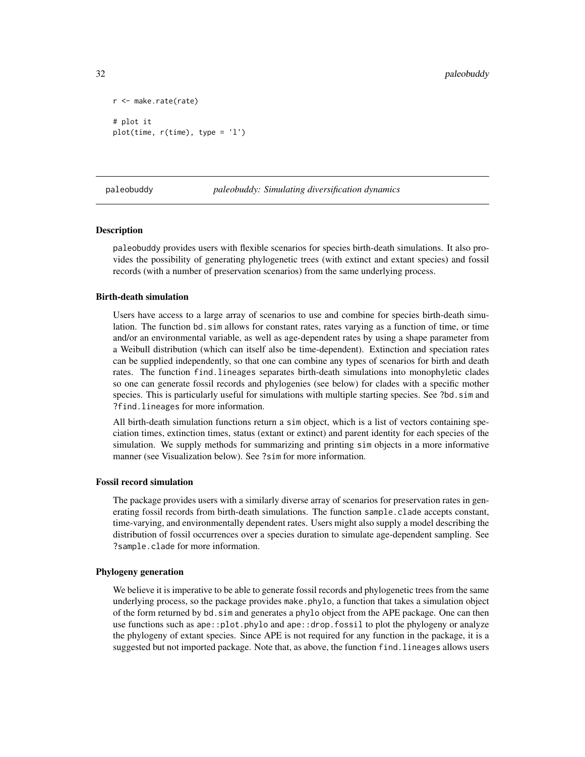```
r <- make.rate(rate)
# plot it
plot(time, r(time), type = 'l')
```
paleobuddy *paleobuddy: Simulating diversification dynamics*

# **Description**

paleobuddy provides users with flexible scenarios for species birth-death simulations. It also provides the possibility of generating phylogenetic trees (with extinct and extant species) and fossil records (with a number of preservation scenarios) from the same underlying process.

#### Birth-death simulation

Users have access to a large array of scenarios to use and combine for species birth-death simulation. The function bd.sim allows for constant rates, rates varying as a function of time, or time and/or an environmental variable, as well as age-dependent rates by using a shape parameter from a Weibull distribution (which can itself also be time-dependent). Extinction and speciation rates can be supplied independently, so that one can combine any types of scenarios for birth and death rates. The function find.lineages separates birth-death simulations into monophyletic clades so one can generate fossil records and phylogenies (see below) for clades with a specific mother species. This is particularly useful for simulations with multiple starting species. See ?bd.sim and ?find.lineages for more information.

All birth-death simulation functions return a sim object, which is a list of vectors containing speciation times, extinction times, status (extant or extinct) and parent identity for each species of the simulation. We supply methods for summarizing and printing sim objects in a more informative manner (see Visualization below). See ?sim for more information.

# Fossil record simulation

The package provides users with a similarly diverse array of scenarios for preservation rates in generating fossil records from birth-death simulations. The function sample.clade accepts constant, time-varying, and environmentally dependent rates. Users might also supply a model describing the distribution of fossil occurrences over a species duration to simulate age-dependent sampling. See ?sample.clade for more information.

# Phylogeny generation

We believe it is imperative to be able to generate fossil records and phylogenetic trees from the same underlying process, so the package provides make.phylo, a function that takes a simulation object of the form returned by bd.sim and generates a phylo object from the APE package. One can then use functions such as ape::plot.phylo and ape::drop.fossil to plot the phylogeny or analyze the phylogeny of extant species. Since APE is not required for any function in the package, it is a suggested but not imported package. Note that, as above, the function find.lineages allows users

<span id="page-31-0"></span>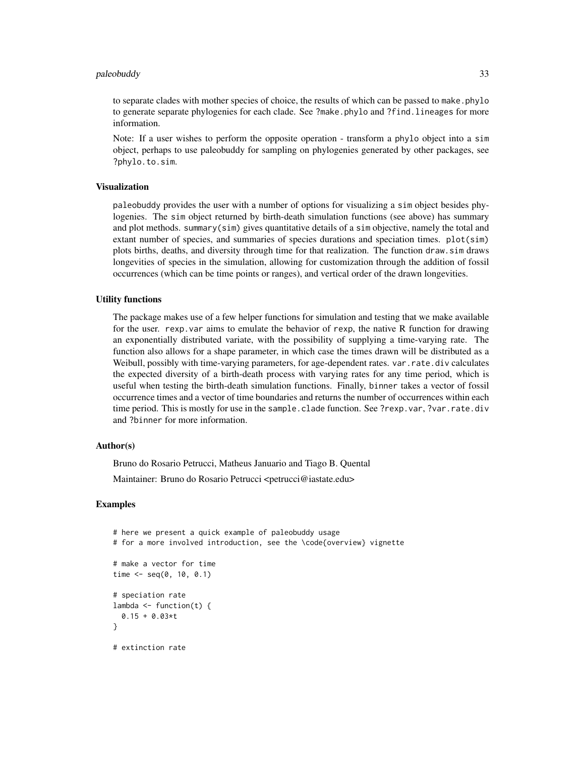# paleobuddy 33

to separate clades with mother species of choice, the results of which can be passed to make.phylo to generate separate phylogenies for each clade. See ?make.phylo and ?find.lineages for more information.

Note: If a user wishes to perform the opposite operation - transform a phylo object into a sim object, perhaps to use paleobuddy for sampling on phylogenies generated by other packages, see ?phylo.to.sim.

# Visualization

paleobuddy provides the user with a number of options for visualizing a sim object besides phylogenies. The sim object returned by birth-death simulation functions (see above) has summary and plot methods. summary(sim) gives quantitative details of a sim objective, namely the total and extant number of species, and summaries of species durations and speciation times. plot(sim) plots births, deaths, and diversity through time for that realization. The function draw.sim draws longevities of species in the simulation, allowing for customization through the addition of fossil occurrences (which can be time points or ranges), and vertical order of the drawn longevities.

# Utility functions

The package makes use of a few helper functions for simulation and testing that we make available for the user. rexp.var aims to emulate the behavior of rexp, the native R function for drawing an exponentially distributed variate, with the possibility of supplying a time-varying rate. The function also allows for a shape parameter, in which case the times drawn will be distributed as a Weibull, possibly with time-varying parameters, for age-dependent rates. var. rate.div calculates the expected diversity of a birth-death process with varying rates for any time period, which is useful when testing the birth-death simulation functions. Finally, binner takes a vector of fossil occurrence times and a vector of time boundaries and returns the number of occurrences within each time period. This is mostly for use in the sample.clade function. See ?rexp.var, ?var.rate.div and ?binner for more information.

# Author(s)

Bruno do Rosario Petrucci, Matheus Januario and Tiago B. Quental Maintainer: Bruno do Rosario Petrucci <petrucci@iastate.edu>

```
# here we present a quick example of paleobuddy usage
# for a more involved introduction, see the \code{overview} vignette
# make a vector for time
time \leq seq(0, 10, 0.1)
# speciation rate
lambda \leq function(t) {
 0.15 + 0.03* t}
# extinction rate
```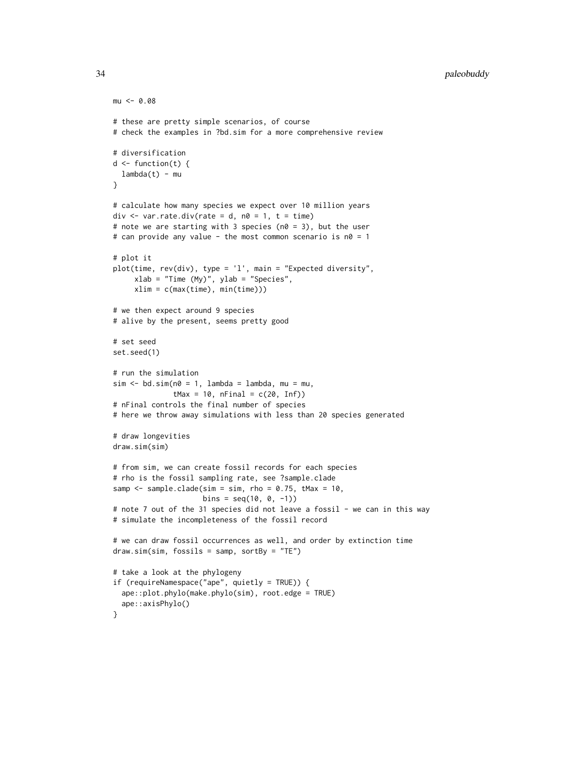```
mu < -0.08# these are pretty simple scenarios, of course
# check the examples in ?bd.sim for a more comprehensive review
# diversification
d \leftarrow function(t) {
 lambda(t) - mu
}
# calculate how many species we expect over 10 million years
div \le var. rate.div(rate = d, n0 = 1, t = time)
# note we are starting with 3 species (n0 = 3), but the user
# can provide any value - the most common scenario is n\theta = 1# plot it
plot(time, rev(div), type = 'l', main = "Expected diversity",
     xlab = "Time (My)", ylab = "Species",
     xlim = c(max(time), min(time)))
# we then expect around 9 species
# alive by the present, seems pretty good
# set seed
set.seed(1)
# run the simulation
sim < -bd.sim(n0 = 1, lambda = lambda, mu = mu,
              tMax = 10, nFinal = c(20, Inf))
# nFinal controls the final number of species
# here we throw away simulations with less than 20 species generated
# draw longevities
draw.sim(sim)
# from sim, we can create fossil records for each species
# rho is the fossil sampling rate, see ?sample.clade
samp \leq sample.clade(sim = sim, rho = 0.75, tMax = 10,
                     bins = seq(10, 0, -1)# note 7 out of the 31 species did not leave a fossil - we can in this way
# simulate the incompleteness of the fossil record
# we can draw fossil occurrences as well, and order by extinction time
draw.sim(sim, fossils = samp, sortBy = "TE")
# take a look at the phylogeny
if (requireNamespace("ape", quietly = TRUE)) {
  ape::plot.phylo(make.phylo(sim), root.edge = TRUE)
  ape::axisPhylo()
}
```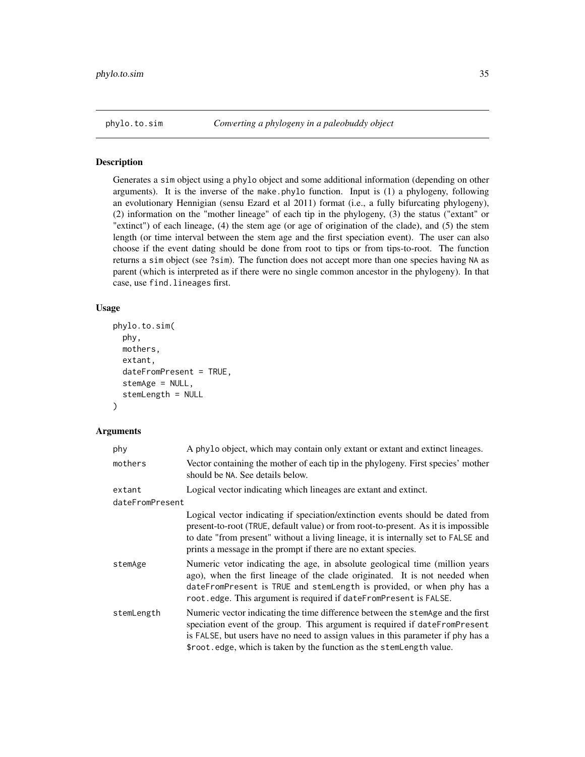<span id="page-34-0"></span>

# Description

Generates a sim object using a phylo object and some additional information (depending on other arguments). It is the inverse of the make.phylo function. Input is (1) a phylogeny, following an evolutionary Hennigian (sensu Ezard et al 2011) format (i.e., a fully bifurcating phylogeny), (2) information on the "mother lineage" of each tip in the phylogeny, (3) the status ("extant" or "extinct") of each lineage, (4) the stem age (or age of origination of the clade), and (5) the stem length (or time interval between the stem age and the first speciation event). The user can also choose if the event dating should be done from root to tips or from tips-to-root. The function returns a sim object (see ?sim). The function does not accept more than one species having NA as parent (which is interpreted as if there were no single common ancestor in the phylogeny). In that case, use find.lineages first.

# Usage

```
phylo.to.sim(
  phy,
 mothers,
  extant,
  dateFromPresent = TRUE,
  stemAge = NULL,
  stemLength = NULL
)
```
# Arguments

| phy             | A phylo object, which may contain only extant or extant and extinct lineages.                                                                                                                                                                                                                                                |
|-----------------|------------------------------------------------------------------------------------------------------------------------------------------------------------------------------------------------------------------------------------------------------------------------------------------------------------------------------|
| mothers         | Vector containing the mother of each tip in the phylogeny. First species' mother<br>should be NA. See details below.                                                                                                                                                                                                         |
| extant          | Logical vector indicating which lineages are extant and extinct.                                                                                                                                                                                                                                                             |
| dateFromPresent |                                                                                                                                                                                                                                                                                                                              |
|                 | Logical vector indicating if speciation/extinction events should be dated from<br>present-to-root (TRUE, default value) or from root-to-present. As it is impossible<br>to date "from present" without a living lineage, it is internally set to FALSE and<br>prints a message in the prompt if there are no extant species. |
| stemAge         | Numeric vetor indicating the age, in absolute geological time (million years)<br>ago), when the first lineage of the clade originated. It is not needed when<br>dateFromPresent is TRUE and stemLength is provided, or when phy has a<br>root.edge. This argument is required if dateFromPresent is FALSE.                   |
| stemLength      | Numeric vector indicating the time difference between the stemAge and the first<br>speciation event of the group. This argument is required if dateFromPresent<br>is FALSE, but users have no need to assign values in this parameter if phy has a<br>\$root.edge, which is taken by the function as the stemLength value.   |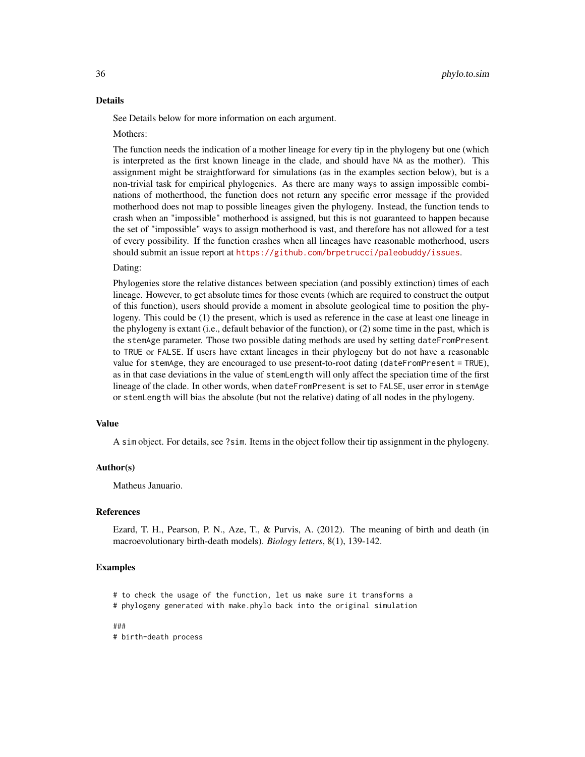# Details

See Details below for more information on each argument.

# Mothers:

The function needs the indication of a mother lineage for every tip in the phylogeny but one (which is interpreted as the first known lineage in the clade, and should have NA as the mother). This assignment might be straightforward for simulations (as in the examples section below), but is a non-trivial task for empirical phylogenies. As there are many ways to assign impossible combinations of motherthood, the function does not return any specific error message if the provided motherhood does not map to possible lineages given the phylogeny. Instead, the function tends to crash when an "impossible" motherhood is assigned, but this is not guaranteed to happen because the set of "impossible" ways to assign motherhood is vast, and therefore has not allowed for a test of every possibility. If the function crashes when all lineages have reasonable motherhood, users should submit an issue report at <https://github.com/brpetrucci/paleobuddy/issues>.

# Dating:

Phylogenies store the relative distances between speciation (and possibly extinction) times of each lineage. However, to get absolute times for those events (which are required to construct the output of this function), users should provide a moment in absolute geological time to position the phylogeny. This could be (1) the present, which is used as reference in the case at least one lineage in the phylogeny is extant (i.e., default behavior of the function), or (2) some time in the past, which is the stemAge parameter. Those two possible dating methods are used by setting dateFromPresent to TRUE or FALSE. If users have extant lineages in their phylogeny but do not have a reasonable value for stemAge, they are encouraged to use present-to-root dating (dateFromPresent = TRUE), as in that case deviations in the value of stemLength will only affect the speciation time of the first lineage of the clade. In other words, when dateFromPresent is set to FALSE, user error in stemAge or stemLength will bias the absolute (but not the relative) dating of all nodes in the phylogeny.

#### Value

A sim object. For details, see ?sim. Items in the object follow their tip assignment in the phylogeny.

# Author(s)

Matheus Januario.

# References

Ezard, T. H., Pearson, P. N., Aze, T., & Purvis, A. (2012). The meaning of birth and death (in macroevolutionary birth-death models). *Biology letters*, 8(1), 139-142.

# Examples

# to check the usage of the function, let us make sure it transforms a # phylogeny generated with make.phylo back into the original simulation

###

# birth-death process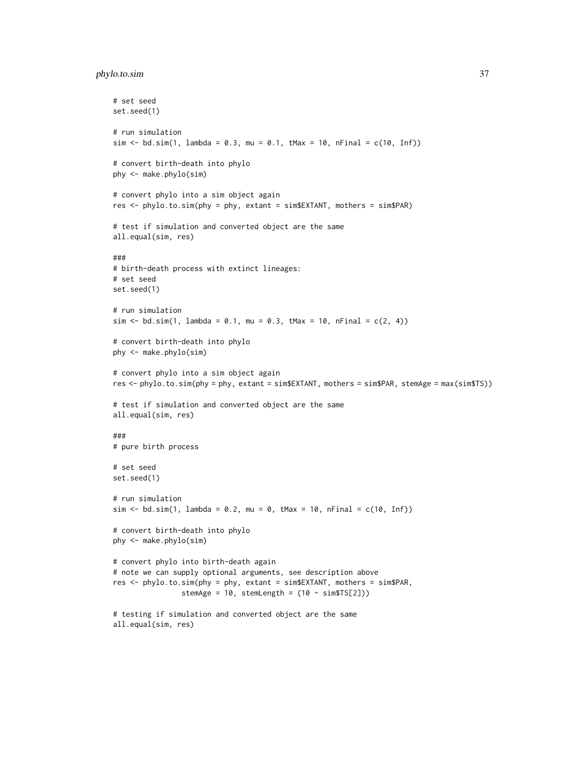# phylo.to.sim 37

```
# set seed
set.seed(1)
# run simulation
sim < bd.sim(1, lambda = 0.3, mu = 0.1, tMax = 10, nFinal = c(10, Inf))
# convert birth-death into phylo
phy <- make.phylo(sim)
# convert phylo into a sim object again
res <- phylo.to.sim(phy = phy, extant = sim$EXTANT, mothers = sim$PAR)
# test if simulation and converted object are the same
all.equal(sim, res)
###
# birth-death process with extinct lineages:
# set seed
set.seed(1)
# run simulation
sim < bol . \sin(1, \text{lambda} = 0.1, \text{mu} = 0.3, \text{tMax} = 10, \text{nFinal} = c(2, 4))# convert birth-death into phylo
phy <- make.phylo(sim)
# convert phylo into a sim object again
res <- phylo.to.sim(phy = phy, extant = sim$EXTANT, mothers = sim$PAR, stemAge = max(sim$TS))
# test if simulation and converted object are the same
all.equal(sim, res)
###
# pure birth process
# set seed
set.seed(1)
# run simulation
sim < -b</math>d.sim(1, lambda = 0.2, mu = 0, tMax = 10, nFinal = c(10, Inf))# convert birth-death into phylo
phy <- make.phylo(sim)
# convert phylo into birth-death again
# note we can supply optional arguments, see description above
res <- phylo.to.sim(phy = phy, extant = sim$EXTANT, mothers = sim$PAR,
                stemAge = 10, stemLength = (10 - \text{simsTS}[2]))# testing if simulation and converted object are the same
all.equal(sim, res)
```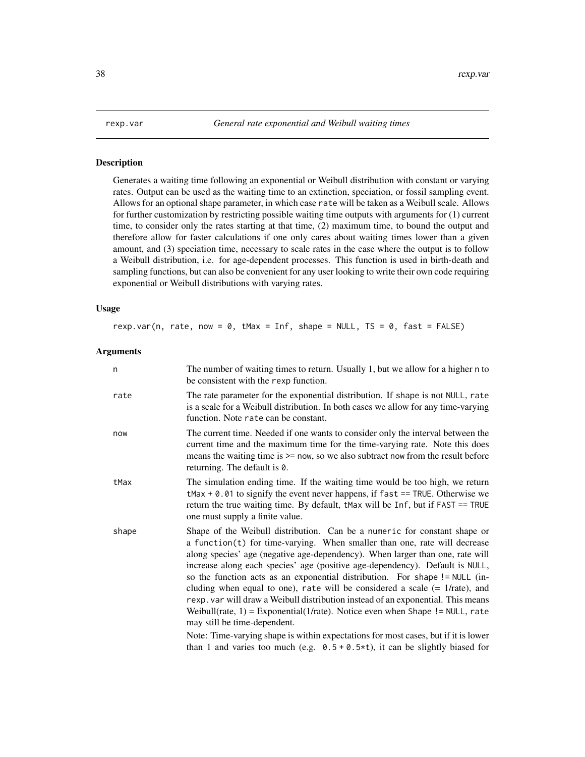<span id="page-37-0"></span>

# Description

Generates a waiting time following an exponential or Weibull distribution with constant or varying rates. Output can be used as the waiting time to an extinction, speciation, or fossil sampling event. Allows for an optional shape parameter, in which case rate will be taken as a Weibull scale. Allows for further customization by restricting possible waiting time outputs with arguments for (1) current time, to consider only the rates starting at that time, (2) maximum time, to bound the output and therefore allow for faster calculations if one only cares about waiting times lower than a given amount, and (3) speciation time, necessary to scale rates in the case where the output is to follow a Weibull distribution, i.e. for age-dependent processes. This function is used in birth-death and sampling functions, but can also be convenient for any user looking to write their own code requiring exponential or Weibull distributions with varying rates.

# Usage

rexp.var(n, rate, now =  $0$ , tMax = Inf, shape = NULL, TS =  $0$ , fast = FALSE)

# Arguments

| n     | The number of waiting times to return. Usually 1, but we allow for a higher n to<br>be consistent with the rexp function.                                                                                                                                                                                                                                                                                                                                                                                                                                                                                                                                                                                                                                                                                                                                                        |
|-------|----------------------------------------------------------------------------------------------------------------------------------------------------------------------------------------------------------------------------------------------------------------------------------------------------------------------------------------------------------------------------------------------------------------------------------------------------------------------------------------------------------------------------------------------------------------------------------------------------------------------------------------------------------------------------------------------------------------------------------------------------------------------------------------------------------------------------------------------------------------------------------|
| rate  | The rate parameter for the exponential distribution. If shape is not NULL, rate<br>is a scale for a Weibull distribution. In both cases we allow for any time-varying<br>function. Note rate can be constant.                                                                                                                                                                                                                                                                                                                                                                                                                                                                                                                                                                                                                                                                    |
| now   | The current time. Needed if one wants to consider only the interval between the<br>current time and the maximum time for the time-varying rate. Note this does<br>means the waiting time is $>=$ now, so we also subtract now from the result before<br>returning. The default is 0.                                                                                                                                                                                                                                                                                                                                                                                                                                                                                                                                                                                             |
| tMax  | The simulation ending time. If the waiting time would be too high, we return<br>$t$ Max + 0.01 to signify the event never happens, if fast == TRUE. Otherwise we<br>return the true waiting time. By default, tMax will be Inf, but if FAST == TRUE<br>one must supply a finite value.                                                                                                                                                                                                                                                                                                                                                                                                                                                                                                                                                                                           |
| shape | Shape of the Weibull distribution. Can be a numeric for constant shape or<br>a function(t) for time-varying. When smaller than one, rate will decrease<br>along species' age (negative age-dependency). When larger than one, rate will<br>increase along each species' age (positive age-dependency). Default is NULL,<br>so the function acts as an exponential distribution. For shape ! = NULL (in-<br>cluding when equal to one), rate will be considered a scale $(= 1/rate)$ , and<br>rexp. var will draw a Weibull distribution instead of an exponential. This means<br>Weibull(rate, $1$ ) = Exponential(1/rate). Notice even when Shape ! = NULL, rate<br>may still be time-dependent.<br>Note: Time-varying shape is within expectations for most cases, but if it is lower<br>than 1 and varies too much (e.g. $0.5 + 0.5 \star t$ ), it can be slightly biased for |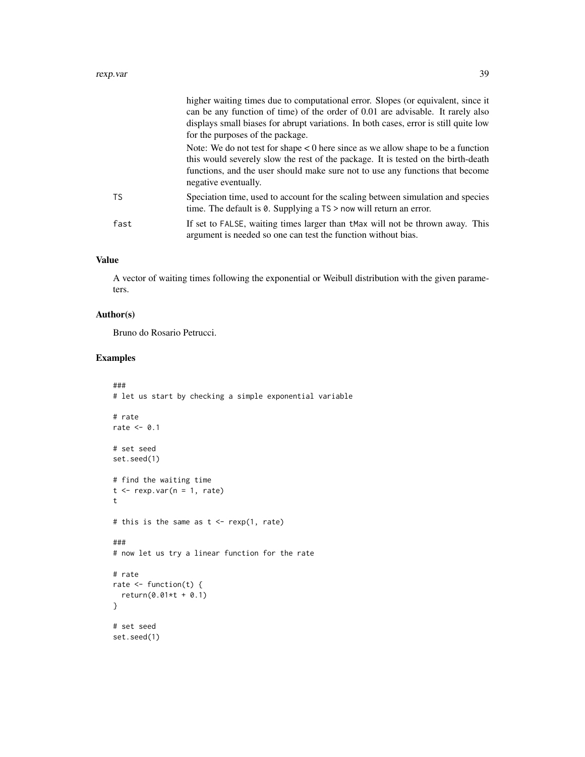|      | higher waiting times due to computational error. Slopes (or equivalent, since it<br>can be any function of time) of the order of 0.01 are advisable. It rarely also<br>displays small biases for abrupt variations. In both cases, error is still quite low<br>for the purposes of the package. |
|------|-------------------------------------------------------------------------------------------------------------------------------------------------------------------------------------------------------------------------------------------------------------------------------------------------|
|      | Note: We do not test for shape $\lt 0$ here since as we allow shape to be a function<br>this would severely slow the rest of the package. It is tested on the birth-death<br>functions, and the user should make sure not to use any functions that become<br>negative eventually.              |
| TS.  | Speciation time, used to account for the scaling between simulation and species<br>time. The default is $\theta$ . Supplying a $TS$ > now will return an error.                                                                                                                                 |
| fast | If set to FALSE, waiting times larger than thax will not be thrown away. This<br>argument is needed so one can test the function without bias.                                                                                                                                                  |

# Value

A vector of waiting times following the exponential or Weibull distribution with the given parameters.

# Author(s)

Bruno do Rosario Petrucci.

```
###
# let us start by checking a simple exponential variable
# rate
rate <-0.1# set seed
set.seed(1)
# find the waiting time
t <- rexp.var(n = 1, rate)
t
# this is the same as t < - rexp(1, rate)
###
# now let us try a linear function for the rate
# rate
rate \leq function(t) {
  return(0.01*t + 0.1)
}
# set seed
set.seed(1)
```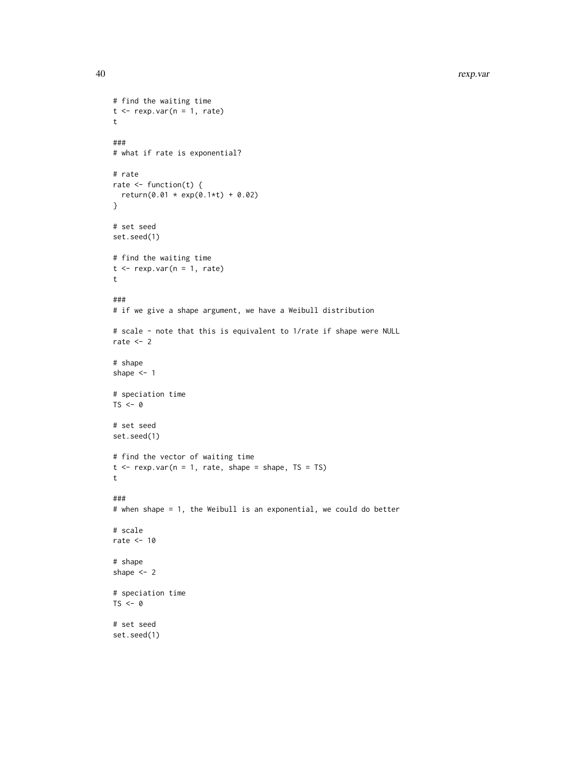```
# find the waiting time
t \leq - rexp.var(n = 1, rate)
t
###
# what if rate is exponential?
# rate
rate \leq function(t) {
 return(0.01 * exp(0.1*t) + 0.02)}
# set seed
set.seed(1)
# find the waiting time
t <- rexp.var(n = 1, rate)
t
###
# if we give a shape argument, we have a Weibull distribution
# scale - note that this is equivalent to 1/rate if shape were NULL
rate <-2# shape
shape <-1# speciation time
TS < -0# set seed
set.seed(1)
# find the vector of waiting time
t \leq - rexp.var(n = 1, rate, shape = shape, TS = TS)
t
###
# when shape = 1, the Weibull is an exponential, we could do better
# scale
rate <- 10
# shape
shape <-2# speciation time
TS < -0# set seed
set.seed(1)
```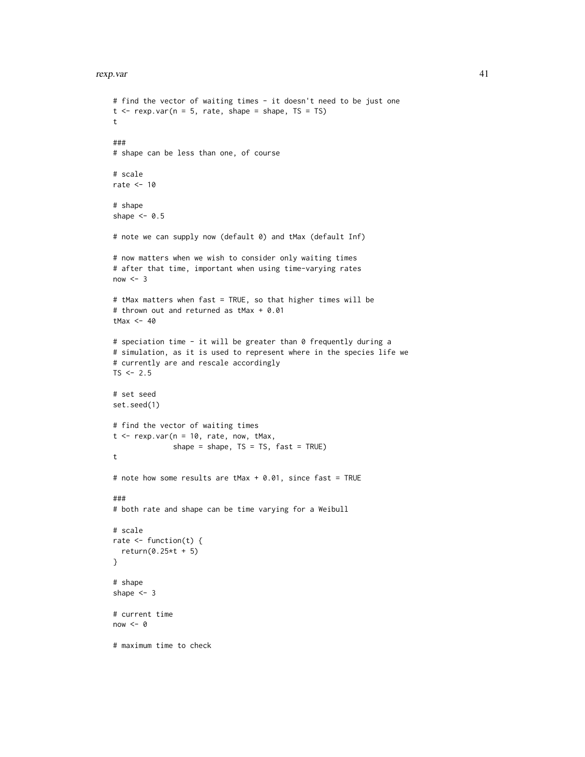# rexp.var 41

```
# find the vector of waiting times - it doesn't need to be just one
t \leq - rexp.var(n = 5, rate, shape = shape, TS = TS)
t
###
# shape can be less than one, of course
# scale
rate <- 10
# shape
shape <-0.5# note we can supply now (default 0) and tMax (default Inf)
# now matters when we wish to consider only waiting times
# after that time, important when using time-varying rates
now < - 3# tMax matters when fast = TRUE, so that higher times will be
# thrown out and returned as tMax + 0.01
tMax <-40# speciation time - it will be greater than 0 frequently during a
# simulation, as it is used to represent where in the species life we
# currently are and rescale accordingly
TS < -2.5# set seed
set.seed(1)
# find the vector of waiting times
t < - rexp.var(n = 10, rate, now, tMax,
              shape = shape, TS = TS, fast = TRUE)
t
# note how some results are tMax + 0.01, since fast = TRUE
###
# both rate and shape can be time varying for a Weibull
# scale
rate \leq function(t) {
  return(0.25*t + 5)
}
# shape
shape <-3# current time
now < 0# maximum time to check
```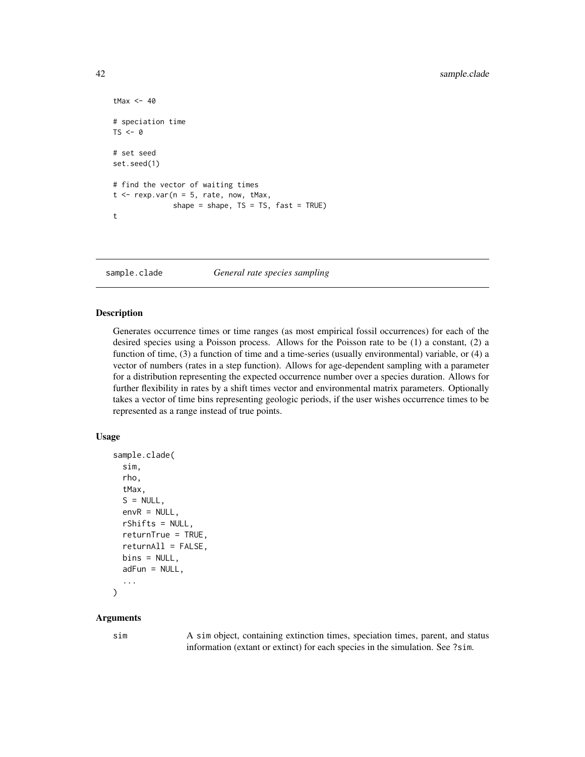```
tMax <-40# speciation time
TS < -\theta# set seed
set.seed(1)
# find the vector of waiting times
t \leq - rexp.var(n = 5, rate, now, tMax,
              shape = shape, TS = TS, fast = TRUE)
t
```
sample.clade *General rate species sampling*

#### Description

Generates occurrence times or time ranges (as most empirical fossil occurrences) for each of the desired species using a Poisson process. Allows for the Poisson rate to be (1) a constant, (2) a function of time, (3) a function of time and a time-series (usually environmental) variable, or (4) a vector of numbers (rates in a step function). Allows for age-dependent sampling with a parameter for a distribution representing the expected occurrence number over a species duration. Allows for further flexibility in rates by a shift times vector and environmental matrix parameters. Optionally takes a vector of time bins representing geologic periods, if the user wishes occurrence times to be represented as a range instead of true points.

# Usage

```
sample.clade(
  sim,
  rho,
  tMax,
  S = NULL,envR = NULL,
  rShifts = NULL,
  returnTrue = TRUE,
  returnAll = FALSE,
 bins = NULL,
  adFun = NULL,
  ...
)
```
#### Arguments

sim A sim object, containing extinction times, speciation times, parent, and status information (extant or extinct) for each species in the simulation. See ?sim.

<span id="page-41-0"></span>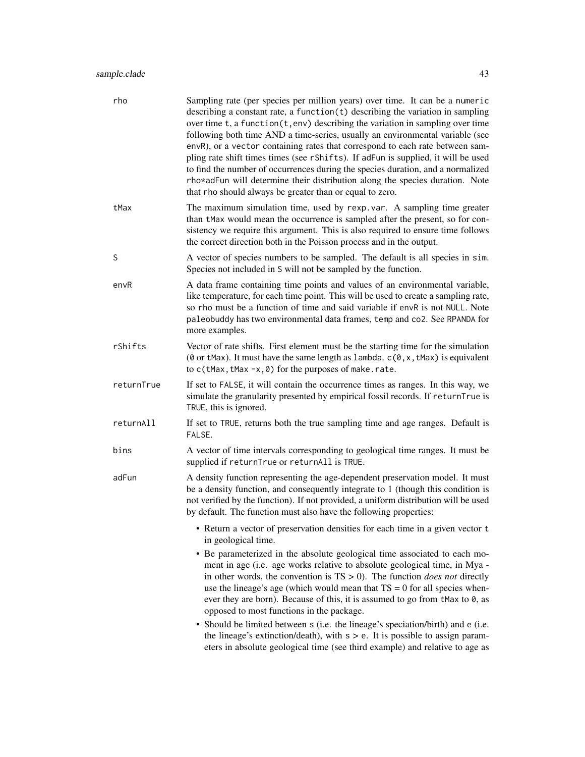# sample.clade 43

| rho        | Sampling rate (per species per million years) over time. It can be a numeric<br>describing a constant rate, a function $(t)$ describing the variation in sampling<br>over time $t$ , a function $(t, env)$ describing the variation in sampling over time<br>following both time AND a time-series, usually an environmental variable (see<br>envR), or a vector containing rates that correspond to each rate between sam-<br>pling rate shift times times (see rShifts). If adFun is supplied, it will be used<br>to find the number of occurrences during the species duration, and a normalized<br>rho*adFun will determine their distribution along the species duration. Note<br>that rho should always be greater than or equal to zero. |
|------------|-------------------------------------------------------------------------------------------------------------------------------------------------------------------------------------------------------------------------------------------------------------------------------------------------------------------------------------------------------------------------------------------------------------------------------------------------------------------------------------------------------------------------------------------------------------------------------------------------------------------------------------------------------------------------------------------------------------------------------------------------|
| tMax       | The maximum simulation time, used by rexp. var. A sampling time greater<br>than tMax would mean the occurrence is sampled after the present, so for con-<br>sistency we require this argument. This is also required to ensure time follows<br>the correct direction both in the Poisson process and in the output.                                                                                                                                                                                                                                                                                                                                                                                                                             |
| S          | A vector of species numbers to be sampled. The default is all species in sim.<br>Species not included in S will not be sampled by the function.                                                                                                                                                                                                                                                                                                                                                                                                                                                                                                                                                                                                 |
| envR       | A data frame containing time points and values of an environmental variable,<br>like temperature, for each time point. This will be used to create a sampling rate,<br>so rho must be a function of time and said variable if envR is not NULL. Note<br>paleobuddy has two environmental data frames, temp and co2. See RPANDA for<br>more examples.                                                                                                                                                                                                                                                                                                                                                                                            |
| rShifts    | Vector of rate shifts. First element must be the starting time for the simulation<br>(0 or tMax). It must have the same length as lambda. $c(0, x, t$ Max) is equivalent<br>to $c$ (tMax, tMax -x, 0) for the purposes of make.rate.                                                                                                                                                                                                                                                                                                                                                                                                                                                                                                            |
| returnTrue | If set to FALSE, it will contain the occurrence times as ranges. In this way, we<br>simulate the granularity presented by empirical fossil records. If returnTrue is<br>TRUE, this is ignored.                                                                                                                                                                                                                                                                                                                                                                                                                                                                                                                                                  |
| returnAll  | If set to TRUE, returns both the true sampling time and age ranges. Default is<br>FALSE.                                                                                                                                                                                                                                                                                                                                                                                                                                                                                                                                                                                                                                                        |
| bins       | A vector of time intervals corresponding to geological time ranges. It must be<br>supplied if returnTrue or returnAll is TRUE.                                                                                                                                                                                                                                                                                                                                                                                                                                                                                                                                                                                                                  |
| adFun      | A density function representing the age-dependent preservation model. It must<br>be a density function, and consequently integrate to 1 (though this condition is<br>not verified by the function). If not provided, a uniform distribution will be used<br>by default. The function must also have the following properties:                                                                                                                                                                                                                                                                                                                                                                                                                   |
|            | • Return a vector of preservation densities for each time in a given vector t<br>in geological time.                                                                                                                                                                                                                                                                                                                                                                                                                                                                                                                                                                                                                                            |
|            | • Be parameterized in the absolute geological time associated to each mo-<br>ment in age (i.e. age works relative to absolute geological time, in Mya -<br>in other words, the convention is $TS > 0$ ). The function <i>does not</i> directly<br>use the lineage's age (which would mean that $TS = 0$ for all species when-<br>ever they are born). Because of this, it is assumed to go from tMax to $0$ , as<br>opposed to most functions in the package.                                                                                                                                                                                                                                                                                   |
|            | • Should be limited between s (i.e. the lineage's speciation/birth) and e (i.e.<br>the lineage's extinction/death), with $s > e$ . It is possible to assign param-<br>eters in absolute geological time (see third example) and relative to age as                                                                                                                                                                                                                                                                                                                                                                                                                                                                                              |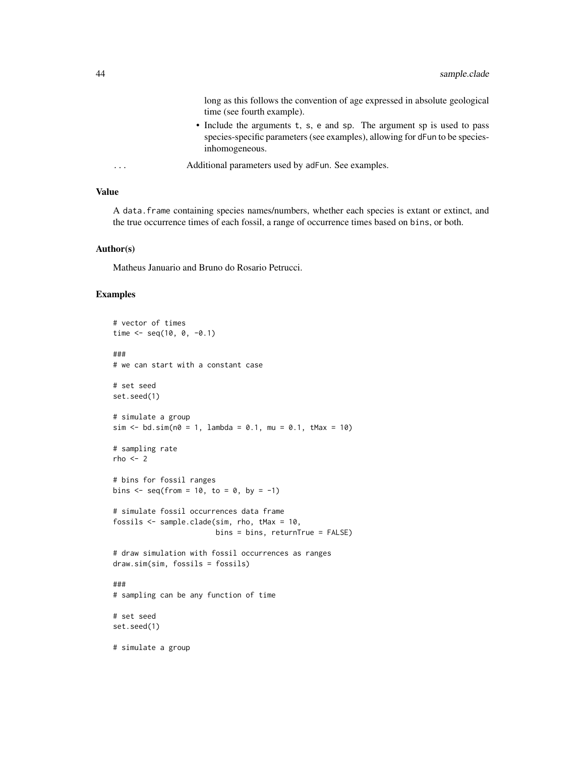long as this follows the convention of age expressed in absolute geological time (see fourth example).

- Include the arguments t, s, e and sp. The argument sp is used to pass species-specific parameters (see examples), allowing for dFun to be speciesinhomogeneous.
- ... Additional parameters used by adFun. See examples.

# Value

A data.frame containing species names/numbers, whether each species is extant or extinct, and the true occurrence times of each fossil, a range of occurrence times based on bins, or both.

# Author(s)

Matheus Januario and Bruno do Rosario Petrucci.

```
# vector of times
time \leq seq(10, 0, -0.1)
###
# we can start with a constant case
# set seed
set.seed(1)
# simulate a group
sim < bol . sim(n0 = 1, lambda = 0.1, mu = 0.1, tMax = 10)# sampling rate
rho < - 2# bins for fossil ranges
bins \leq seq(from = 10, to = 0, by = -1)
# simulate fossil occurrences data frame
fossils <- sample.clade(sim, rho, tMax = 10,
                        bins = bins, returnTrue = FALSE)
# draw simulation with fossil occurrences as ranges
draw.sim(sim, fossils = fossils)
###
# sampling can be any function of time
# set seed
set.seed(1)
# simulate a group
```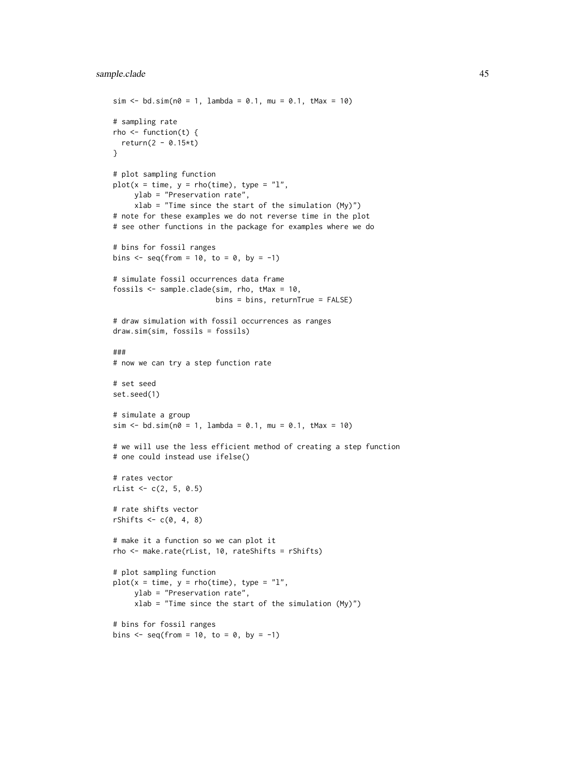```
sim < -b</math>d.sim(n<math>\theta = 1</math>, lambda = 0.1, mu = 0.1, tMax = 10)# sampling rate
rho \leq function(t) {
  return(2 - 0.15*t)}
# plot sampling function
plot(x = time, y = rho(time), type = "l",ylab = "Preservation rate",
     xlab = "Time since the start of the simulation (My)")
# note for these examples we do not reverse time in the plot
# see other functions in the package for examples where we do
# bins for fossil ranges
bins \leq seq(from = 10, to = 0, by = -1)
# simulate fossil occurrences data frame
fossils <- sample.clade(sim, rho, tMax = 10,
                        bins = bins, returnTrue = FALSE)
# draw simulation with fossil occurrences as ranges
draw.sim(sim, fossils = fossils)
###
# now we can try a step function rate
# set seed
set.seed(1)
# simulate a group
sim < bol .sim(n0 = 1, lambda = 0.1, mu = 0.1, tMax = 10)
# we will use the less efficient method of creating a step function
# one could instead use ifelse()
# rates vector
rList < -c(2, 5, 0.5)# rate shifts vector
rShifts \leq c(0, 4, 8)# make it a function so we can plot it
rho <- make.rate(rList, 10, rateShifts = rShifts)
# plot sampling function
plot(x = time, y = rho(time), type = "l",ylab = "Preservation rate",
     xlab = "Time since the start of the simulation (My)")
# bins for fossil ranges
bins \leq seq(from = 10, to = 0, by = -1)
```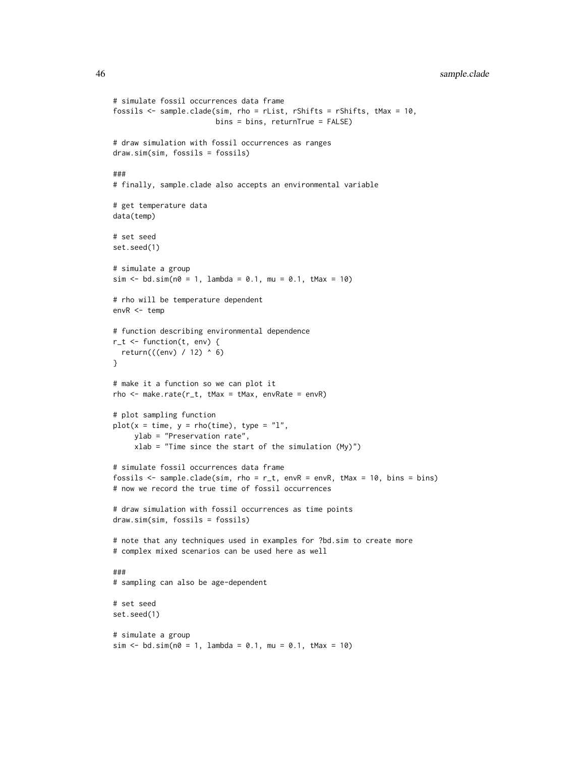46 sample.clade

```
# simulate fossil occurrences data frame
fossils <- sample.clade(sim, rho = rList, rShifts = rShifts, tMax = 10,
                        bins = bins, returnTrue = FALSE)
# draw simulation with fossil occurrences as ranges
draw.sim(sim, fossils = fossils)
###
# finally, sample.clade also accepts an environmental variable
# get temperature data
data(temp)
# set seed
set.seed(1)
# simulate a group
sim < -bd.sim(n0 = 1, lambda = 0.1, mu = 0.1, tMax = 10)
# rho will be temperature dependent
envR <- temp
# function describing environmental dependence
r_t <- function(t, env) {
  return(((env) / 12) ^ 6)
}
# make it a function so we can plot it
rho <- make.rate(r_t, tMax = tMax, envRate = envR)
# plot sampling function
plot(x = time, y = rho(time), type = "l",ylab = "Preservation rate",
     xlab = "Time since the start of the simulation (My)")
# simulate fossil occurrences data frame
fossils \leq sample.clade(sim, rho = r_t, envR = envR, tMax = 10, bins = bins)
# now we record the true time of fossil occurrences
# draw simulation with fossil occurrences as time points
draw.sim(sim, fossils = fossils)
# note that any techniques used in examples for ?bd.sim to create more
# complex mixed scenarios can be used here as well
###
# sampling can also be age-dependent
# set seed
set.seed(1)
# simulate a group
sim < bol . sim(n0 = 1, lambda = 0.1, mu = 0.1, tMax = 10)
```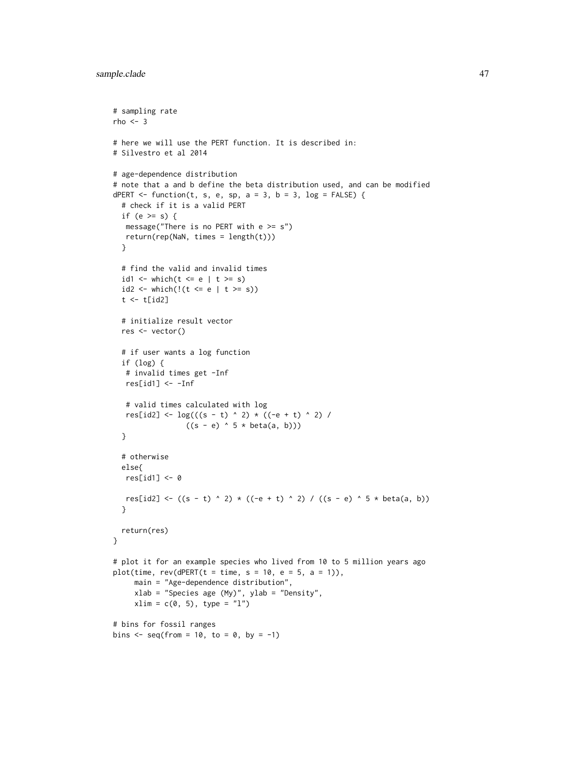```
# sampling rate
rho < -3# here we will use the PERT function. It is described in:
# Silvestro et al 2014
# age-dependence distribution
# note that a and b define the beta distribution used, and can be modified
dPERT \le function(t, s, e, sp, a = 3, b = 3, log = FALSE) {
  # check if it is a valid PERT
  if (e >= s) {
  message("There is no PERT with e \geq s")
  return(rep(NaN, times = length(t)))
  }
  # find the valid and invalid times
  id1 <- which(t \le e | t \ge s)
  id2 \leq which(! (t \leq e | t \geq s))t \leftarrow t[id2]
  # initialize result vector
  res <- vector()
  # if user wants a log function
  if (log) {
   # invalid times get -Inf
  res[id1] <- -Inf
   # valid times calculated with log
   res[id2] \leftarrow log(((s - t) ^ 2) * ((-e + t) ^ 2) /((s - e) ^ 5 * beta(a, b))}
  # otherwise
  else{
  res[id1] < -0res[id2] <- ((s - t) ^ 2) * ((-e + t) ^ 2) / ((s - e) ^ 5 * beta(a, b))
  }
 return(res)
}
# plot it for an example species who lived from 10 to 5 million years ago
plot(time, rev(dPERT(t = time, s = 10, e = 5, a = 1)),main = "Age-dependence distribution",
     xlab = "Species age (My)", ylab = "Density",
     xlim = c(0, 5), type = "1")# bins for fossil ranges
bins \leq seq(from = 10, to = 0, by = -1)
```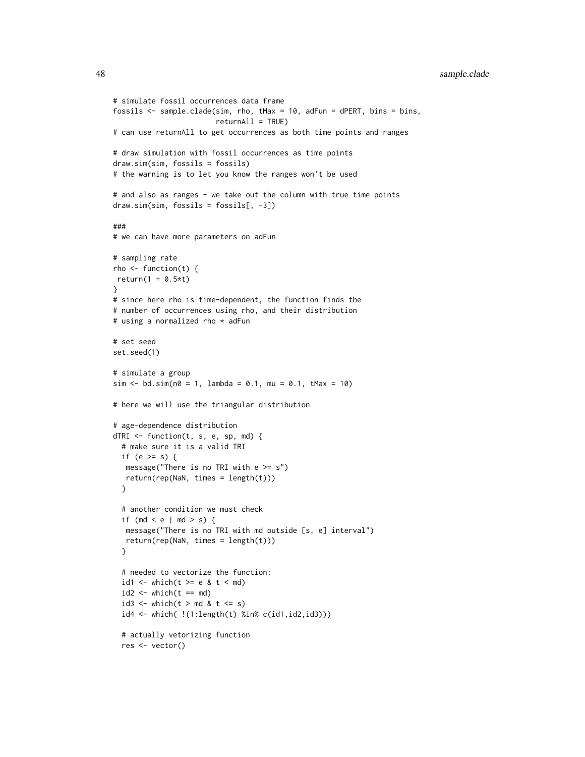```
# simulate fossil occurrences data frame
fossils <- sample.clade(sim, rho, tMax = 10, adFun = dPERT, bins = bins,
                        returnAll = TRUE)
# can use returnAll to get occurrences as both time points and ranges
# draw simulation with fossil occurrences as time points
draw.sim(sim, fossils = fossils)
# the warning is to let you know the ranges won't be used
# and also as ranges - we take out the column with true time points
draw.sim(sim, fossils = fossils[, -3])
###
# we can have more parameters on adFun
# sampling rate
rho \leq function(t) {
return(1 + 0.5*t)
}
# since here rho is time-dependent, the function finds the
# number of occurrences using rho, and their distribution
# using a normalized rho * adFun
# set seed
set.seed(1)
# simulate a group
sim < -bd.sim(n0 = 1, lambda = 0.1, mu = 0.1, tMax = 10)
# here we will use the triangular distribution
# age-dependence distribution
dTRI <- function(t, s, e, sp, md) {
 # make sure it is a valid TRI
 if (e >= s) {
  message("There is no TRI with e \geq s")
  return(rep(NaN, times = length(t)))
 }
 # another condition we must check
 if (md < e | md > s) {
  message("There is no TRI with md outside [s, e] interval")
  return(rep(NaN, times = length(t)))
 }
 # needed to vectorize the function:
 id1 <- which(t >= e & t < md)
 id2 \le - which(t == md)
 id3 \le which(t > md & t \le s)
 id4 <- which( !(1:length(t) %in% c(id1,id2,id3)))
 # actually vetorizing function
 res <- vector()
```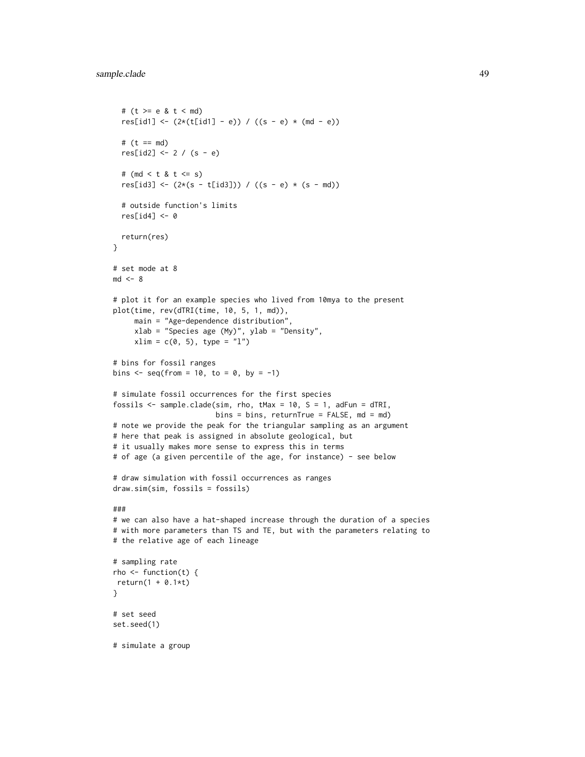```
# (t > = e 8 t < m d)res[id1] \leftarrow (2*(t[id1] - e)) / ((s - e) * (md - e))# (t == md)res[id2] < -2 / (s - e)# (md < t & t <= s)
  res[id3] <- (2*(s - t[id3])) / ((s - e) * (s - md))# outside function's limits
  res[id4] <- 0
 return(res)
}
# set mode at 8
md < - 8# plot it for an example species who lived from 10mya to the present
plot(time, rev(dTRI(time, 10, 5, 1, md)),
     main = "Age-dependence distribution",
     xlab = "Species age (My)", ylab = "Density",
     xlim = c(0, 5), type = "1")# bins for fossil ranges
bins \leq seq(from = 10, to = 0, by = -1)
# simulate fossil occurrences for the first species
fossils <- sample.clade(sim, rho, tMax = 10, S = 1, adFun = dTRI,
                        bins = bins, returnTrue = FALSE, md = md)
# note we provide the peak for the triangular sampling as an argument
# here that peak is assigned in absolute geological, but
# it usually makes more sense to express this in terms
# of age (a given percentile of the age, for instance) - see below
# draw simulation with fossil occurrences as ranges
draw.sim(sim, fossils = fossils)
###
# we can also have a hat-shaped increase through the duration of a species
# with more parameters than TS and TE, but with the parameters relating to
# the relative age of each lineage
# sampling rate
rho \leq function(t) {
return(1 + 0.1*t)
}
# set seed
set.seed(1)
# simulate a group
```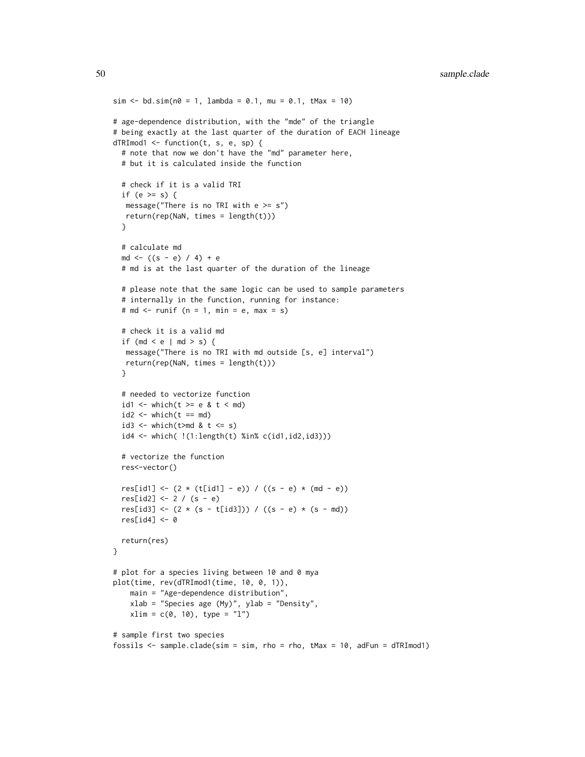```
sim < -bd.sim(n0 = 1, lambda = 0.1, mu = 0.1, tMax = 10)# age-dependence distribution, with the "mde" of the triangle
# being exactly at the last quarter of the duration of EACH lineage
dTRImod1 <- function(t, s, e, sp) {
 # note that now we don't have the "md" parameter here,
 # but it is calculated inside the function
 # check if it is a valid TRI
 if (e >= s) {
  message("There is no TRI with e \geq s")
  return(rep(NaN, times = length(t)))
 }
 # calculate md
 md \leftarrow ((s - e) / 4) + e
 # md is at the last quarter of the duration of the lineage
 # please note that the same logic can be used to sample parameters
 # internally in the function, running for instance:
 # md \le runif (n = 1, min = e, max = s)
 # check it is a valid md
 if (md < e | md > s) {
  message("There is no TRI with md outside [s, e] interval")
  return(rep(NaN, times = length(t)))
 }
 # needed to vectorize function
 id1 <- which(t >= e & t < md)
 id2 \le - which(t == md)
 id3 \leftarrow which(t>md & t \leftarrow s)
 id4 <- which( !(1:length(t) %in% c(id1,id2,id3)))
 # vectorize the function
 res<-vector()
 res[id1] <- (2 * (t[id1] - e)) / ((s - e) * (md - e))res[id2] < -2 / (s - e)res[id3] <- (2 * (s - t[id3])) / ((s - e) * (s - md))res[id4] < -0return(res)
}
# plot for a species living between 10 and 0 mya
plot(time, rev(dTRImod1(time, 10, 0, 1)),
   main = "Age-dependence distribution",
   xlab = "Species age (My)", ylab = "Density",
   xlim = c(0, 10), type = "1")# sample first two species
fossils <- sample.clade(sim = sim, rho = rho, tMax = 10, adFun = dTRImod1)
```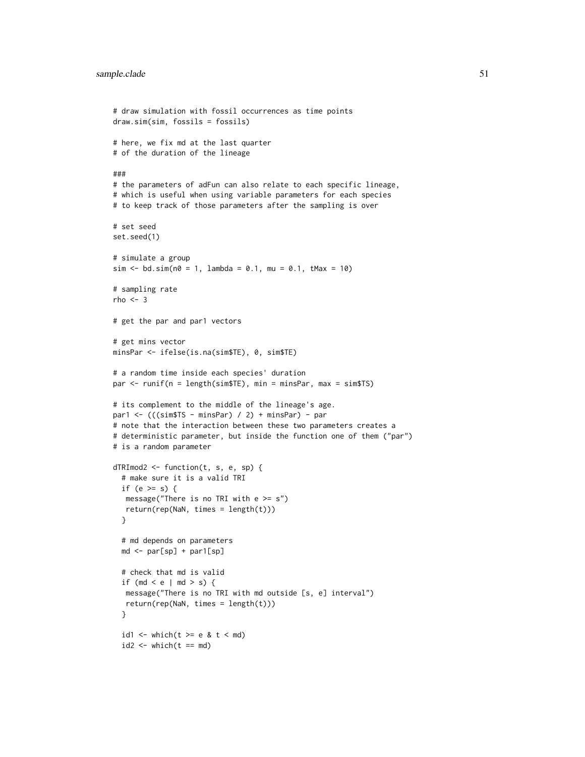```
# draw simulation with fossil occurrences as time points
draw.sim(sim, fossils = fossils)
# here, we fix md at the last quarter
# of the duration of the lineage
###
# the parameters of adFun can also relate to each specific lineage,
# which is useful when using variable parameters for each species
# to keep track of those parameters after the sampling is over
# set seed
set.seed(1)
# simulate a group
sim \le bd.sim(n0 = 1, lambda = 0.1, mu = 0.1, tMax = 10)
# sampling rate
rho <-3# get the par and par1 vectors
# get mins vector
minsPar <- ifelse(is.na(sim$TE), 0, sim$TE)
# a random time inside each species' duration
par <- runif(n = length(sim$TE), min = minsPar, max = sim$TS)
# its complement to the middle of the lineage's age.
par1 <- (((sim$TS - minsPar) / 2) + minsPar) - par
# note that the interaction between these two parameters creates a
# deterministic parameter, but inside the function one of them ("par")
# is a random parameter
dTRImod2 <- function(t, s, e, sp) {
  # make sure it is a valid TRI
  if (e >= s) {
  message("There is no TRI with e \geq s")
   return(rep(NaN, times = length(t)))}
  # md depends on parameters
  md <- par[sp] + par1[sp]
  # check that md is valid
  if (md < e | md > s) {
  message("There is no TRI with md outside [s, e] interval")
  return(rep(NaN, times = length(t)))
  }
  id1 <- which(t >= e & t < md)
  id2 \le - which(t == md)
```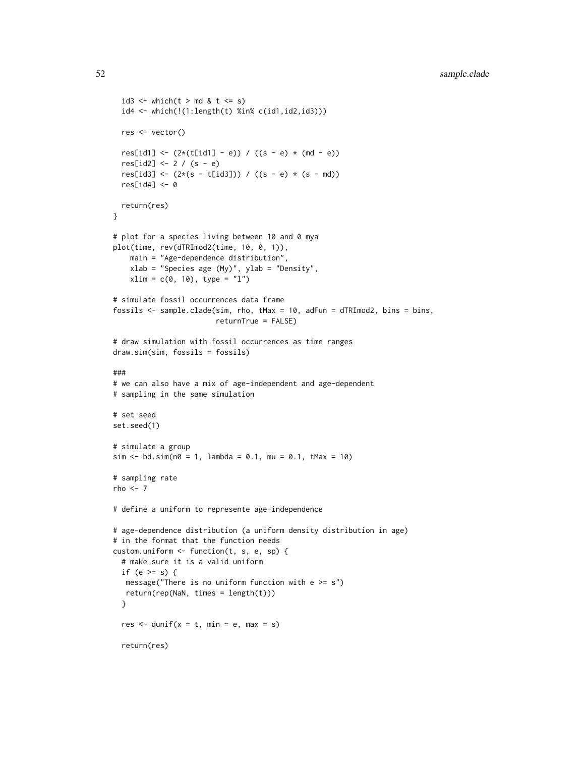```
id3 <- which(t > md & t \leq s)
 id4 <- which(!(1:length(t) %in% c(id1,id2,id3)))
 res <- vector()
 res[id1] \leftarrow (2*(t[id1] - e)) / ((s - e) * (md - e))res[id2] < -2 / (s - e)res[id3] <- (2*(s - t[id3])) / ((s - e) * (s - md))res[id4] < -0return(res)
}
# plot for a species living between 10 and 0 mya
plot(time, rev(dTRImod2(time, 10, 0, 1)),
    main = "Age-dependence distribution",
    xlab = "Species age (My)", ylab = "Density",
   xlim = c(0, 10), type = "1")# simulate fossil occurrences data frame
fossils <- sample.clade(sim, rho, tMax = 10, adFun = dTRImod2, bins = bins,
                        returnTrue = FALSE)
# draw simulation with fossil occurrences as time ranges
draw.sim(sim, fossils = fossils)
###
# we can also have a mix of age-independent and age-dependent
# sampling in the same simulation
# set seed
set.seed(1)
# simulate a group
sim < -b</math>dd.sim(n<math>\theta = 1</math>, lambda = 0.1, mu = 0.1, tMax = 10)# sampling rate
rho \leq -7# define a uniform to represente age-independence
# age-dependence distribution (a uniform density distribution in age)
# in the format that the function needs
custom.uniform <- function(t, s, e, sp) {
 # make sure it is a valid uniform
 if (e >= s) {
  message("There is no uniform function with e \geq s")
  return(rep(NaN, times = length(t)))
 }
 res \le - dunif(x = t, min = e, max = s)
 return(res)
```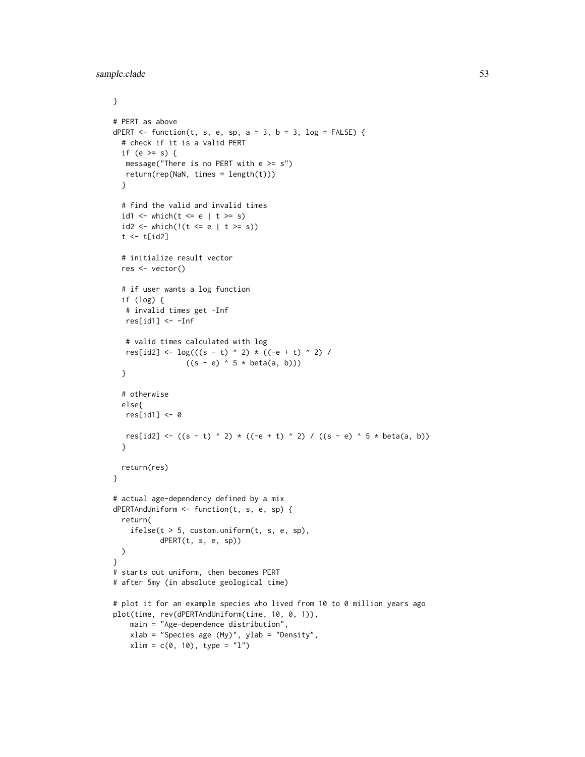```
}
# PERT as above
dPERT \le function(t, s, e, sp, a = 3, b = 3, log = FALSE) {
  # check if it is a valid PERT
 if (e >= s) {
  message("There is no PERT with e \geq s")
  return(rep(NaN, times = length(t)))
  }
  # find the valid and invalid times
  id1 <- which(t \le e | t \ge s)
  id2 <- which(!(t \le e | t \ge s))
  t \leftarrow t[id2]# initialize result vector
  res <- vector()
  # if user wants a log function
  if (log) {
  # invalid times get -Inf
  res[id1] <- -Inf# valid times calculated with log
  res[id2] <- \log(((s - t) ^ 2) * ((-e + t) ^ 2) /
                 ((s - e) ^ 5 * beta(a, b)))
  }
  # otherwise
  else{
  res[id1] < -0res[id2] <- ((s - t) ^ 2) * ((-e + t) ^ 2) / ((s - e) ^ 5 * beta(a, b))
  }
  return(res)
}
# actual age-dependency defined by a mix
dPERTAndUniform <- function(t, s, e, sp) {
  return(
    ifelse(t > 5, custom.uniform(t, s, e, sp),
           dPERT(t, s, e, sp))
  )
}
# starts out uniform, then becomes PERT
# after 5my (in absolute geological time)
# plot it for an example species who lived from 10 to 0 million years ago
plot(time, rev(dPERTAndUniform(time, 10, 0, 1)),
   main = "Age-dependence distribution",
   xlab = "Species age (My)", ylab = "Density",
   xlim = c(0, 10), type = "l")
```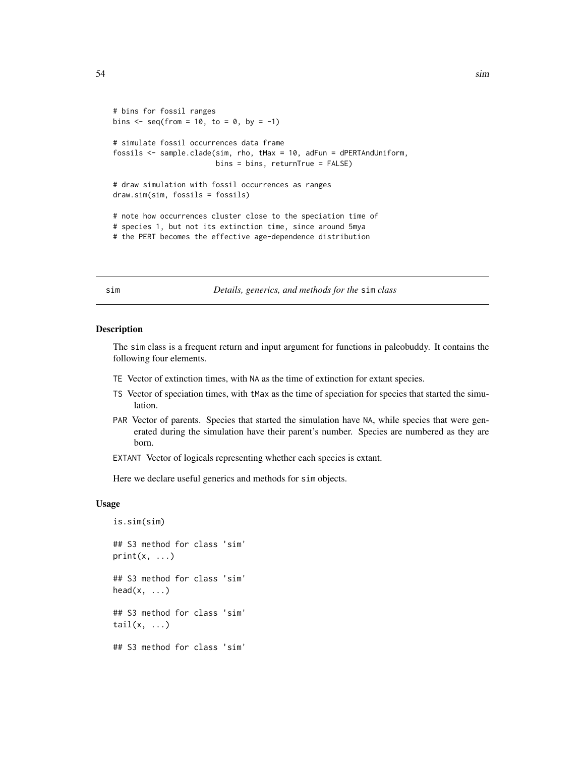```
# bins for fossil ranges
bins \leq seq(from = 10, to = 0, by = -1)
# simulate fossil occurrences data frame
fossils <- sample.clade(sim, rho, tMax = 10, adFun = dPERTAndUniform,
                        bins = bins, returnTrue = FALSE)
# draw simulation with fossil occurrences as ranges
draw.sim(sim, fossils = fossils)
# note how occurrences cluster close to the speciation time of
# species 1, but not its extinction time, since around 5mya
# the PERT becomes the effective age-dependence distribution
```
sim *Details, generics, and methods for the* sim *class*

#### Description

The sim class is a frequent return and input argument for functions in paleobuddy. It contains the following four elements.

- TE Vector of extinction times, with NA as the time of extinction for extant species.
- TS Vector of speciation times, with tMax as the time of speciation for species that started the simulation.
- PAR Vector of parents. Species that started the simulation have NA, while species that were generated during the simulation have their parent's number. Species are numbered as they are born.

EXTANT Vector of logicals representing whether each species is extant.

Here we declare useful generics and methods for sim objects.

# Usage

```
is.sim(sim)
## S3 method for class 'sim'
print(x, \ldots)## S3 method for class 'sim'
head(x, \ldots)## S3 method for class 'sim'
tail(x, \ldots)## S3 method for class 'sim'
```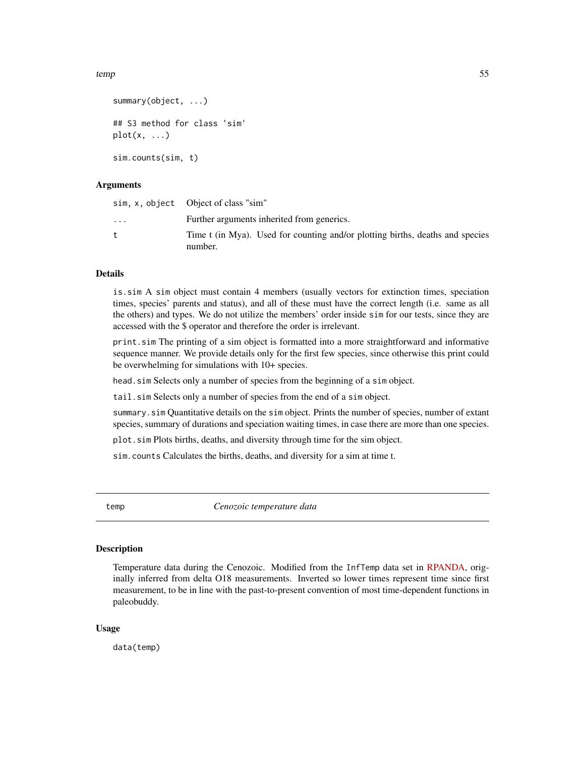<span id="page-54-0"></span>temp 55

```
summary(object, ...)
## S3 method for class 'sim'
plot(x, \ldots)sim.counts(sim, t)
```
# Arguments

|           | sim, x, object  Object of class "sim"                                                    |
|-----------|------------------------------------------------------------------------------------------|
| $\ddotsc$ | Further arguments inherited from generics.                                               |
|           | Time t (in Mya). Used for counting and/or plotting births, deaths and species<br>number. |

# Details

is.sim A sim object must contain 4 members (usually vectors for extinction times, speciation times, species' parents and status), and all of these must have the correct length (i.e. same as all the others) and types. We do not utilize the members' order inside sim for our tests, since they are accessed with the \$ operator and therefore the order is irrelevant.

print.sim The printing of a sim object is formatted into a more straightforward and informative sequence manner. We provide details only for the first few species, since otherwise this print could be overwhelming for simulations with 10+ species.

head.sim Selects only a number of species from the beginning of a sim object.

tail.sim Selects only a number of species from the end of a sim object.

summary.sim Quantitative details on the sim object. Prints the number of species, number of extant species, summary of durations and speciation waiting times, in case there are more than one species.

plot.sim Plots births, deaths, and diversity through time for the sim object.

sim.counts Calculates the births, deaths, and diversity for a sim at time t.

temp *Cenozoic temperature data*

# Description

Temperature data during the Cenozoic. Modified from the InfTemp data set in [RPANDA,](https://github.com/hmorlon/PANDA) originally inferred from delta O18 measurements. Inverted so lower times represent time since first measurement, to be in line with the past-to-present convention of most time-dependent functions in paleobuddy.

# Usage

data(temp)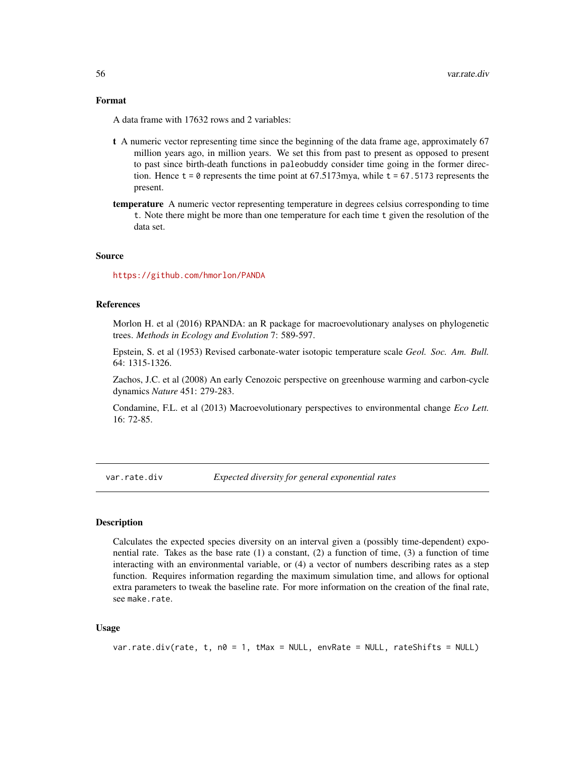# Format

A data frame with 17632 rows and 2 variables:

- t A numeric vector representing time since the beginning of the data frame age, approximately 67 million years ago, in million years. We set this from past to present as opposed to present to past since birth-death functions in paleobuddy consider time going in the former direction. Hence  $t = 0$  represents the time point at 67.5173 mya, while  $t = 67.5173$  represents the present.
- temperature A numeric vector representing temperature in degrees celsius corresponding to time t. Note there might be more than one temperature for each time t given the resolution of the data set.

# Source

<https://github.com/hmorlon/PANDA>

# References

Morlon H. et al (2016) RPANDA: an R package for macroevolutionary analyses on phylogenetic trees. *Methods in Ecology and Evolution* 7: 589-597.

Epstein, S. et al (1953) Revised carbonate-water isotopic temperature scale *Geol. Soc. Am. Bull.* 64: 1315-1326.

Zachos, J.C. et al (2008) An early Cenozoic perspective on greenhouse warming and carbon-cycle dynamics *Nature* 451: 279-283.

Condamine, F.L. et al (2013) Macroevolutionary perspectives to environmental change *Eco Lett.* 16: 72-85.

var.rate.div *Expected diversity for general exponential rates*

# **Description**

Calculates the expected species diversity on an interval given a (possibly time-dependent) exponential rate. Takes as the base rate  $(1)$  a constant,  $(2)$  a function of time,  $(3)$  a function of time interacting with an environmental variable, or (4) a vector of numbers describing rates as a step function. Requires information regarding the maximum simulation time, and allows for optional extra parameters to tweak the baseline rate. For more information on the creation of the final rate, see make.rate.

# Usage

```
var.rate.div(rate, t, n0 = 1, tMax = NULL, envRate = NULL, rateShifts = NULL)
```
<span id="page-55-0"></span>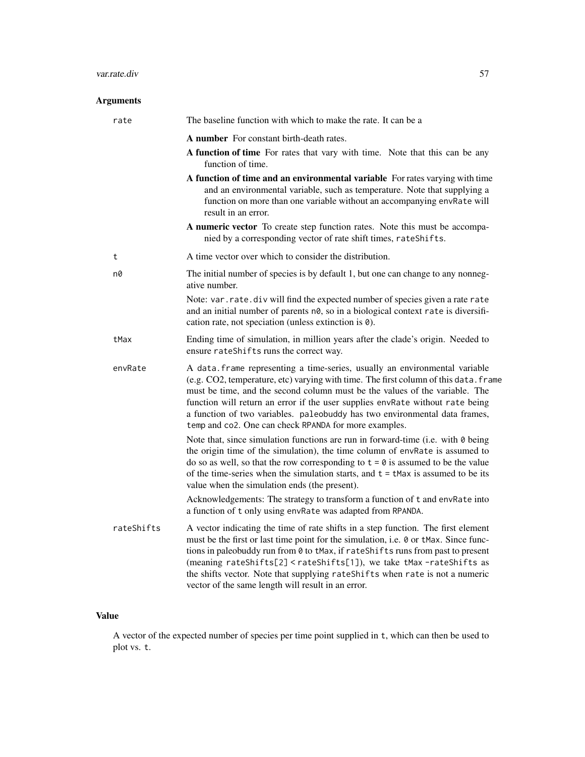# var.rate.div 57

# Arguments

| rate       | The baseline function with which to make the rate. It can be a                                                                                                                                                                                                                                                                                                                                                                                                                                          |
|------------|---------------------------------------------------------------------------------------------------------------------------------------------------------------------------------------------------------------------------------------------------------------------------------------------------------------------------------------------------------------------------------------------------------------------------------------------------------------------------------------------------------|
|            | <b>A</b> number For constant birth-death rates.                                                                                                                                                                                                                                                                                                                                                                                                                                                         |
|            | A function of time For rates that vary with time. Note that this can be any<br>function of time.                                                                                                                                                                                                                                                                                                                                                                                                        |
|            | A function of time and an environmental variable For rates varying with time<br>and an environmental variable, such as temperature. Note that supplying a<br>function on more than one variable without an accompanying envRate will<br>result in an error.                                                                                                                                                                                                                                             |
|            | A numeric vector To create step function rates. Note this must be accompa-<br>nied by a corresponding vector of rate shift times, rateShifts.                                                                                                                                                                                                                                                                                                                                                           |
| t          | A time vector over which to consider the distribution.                                                                                                                                                                                                                                                                                                                                                                                                                                                  |
| n0         | The initial number of species is by default 1, but one can change to any nonneg-<br>ative number.                                                                                                                                                                                                                                                                                                                                                                                                       |
|            | Note: var.rate.div will find the expected number of species given a rate rate<br>and an initial number of parents n0, so in a biological context rate is diversifi-<br>cation rate, not speciation (unless extinction is 0).                                                                                                                                                                                                                                                                            |
| tMax       | Ending time of simulation, in million years after the clade's origin. Needed to<br>ensure rateShifts runs the correct way.                                                                                                                                                                                                                                                                                                                                                                              |
| envRate    | A data. frame representing a time-series, usually an environmental variable<br>(e.g. CO2, temperature, etc) varying with time. The first column of this data. frame<br>must be time, and the second column must be the values of the variable. The<br>function will return an error if the user supplies envRate without rate being<br>a function of two variables. paleobuddy has two environmental data frames,<br>temp and co2. One can check RPANDA for more examples.                              |
|            | Note that, since simulation functions are run in forward-time (i.e. with $\theta$ being<br>the origin time of the simulation), the time column of envRate is assumed to<br>do so as well, so that the row corresponding to $t = 0$ is assumed to be the value<br>of the time-series when the simulation starts, and $t = t$ Max is assumed to be its<br>value when the simulation ends (the present).                                                                                                   |
|            | Acknowledgements: The strategy to transform a function of t and envRate into<br>a function of t only using envRate was adapted from RPANDA.                                                                                                                                                                                                                                                                                                                                                             |
| rateShifts | A vector indicating the time of rate shifts in a step function. The first element<br>must be the first or last time point for the simulation, i.e. 0 or tMax. Since func-<br>tions in paleobuddy run from 0 to tMax, if rateShifts runs from past to present<br>(meaning rateShifts[2] <rateshifts[1]), as<br="" take="" tmax-rateshifts="" we="">the shifts vector. Note that supplying rateShifts when rate is not a numeric<br/>vector of the same length will result in an error.</rateshifts[1]),> |

# Value

A vector of the expected number of species per time point supplied in t, which can then be used to plot vs. t.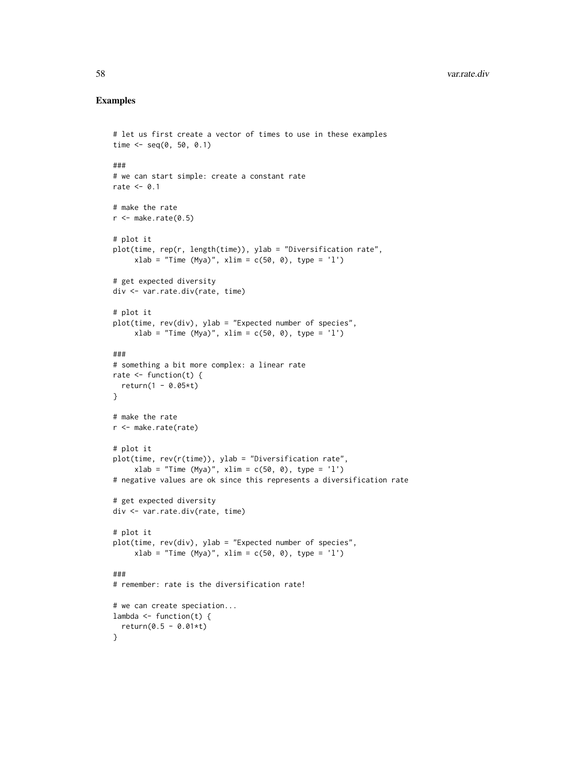```
# let us first create a vector of times to use in these examples
time <- seq(0, 50, 0.1)
###
# we can start simple: create a constant rate
rate <-0.1# make the rate
r <- make.rate(0.5)
# plot it
plot(time, rep(r, length(time)), ylab = "Diversification rate",
     xlab = "Time (Mya)", xlim = c(50, 0), type = 'l')# get expected diversity
div <- var.rate.div(rate, time)
# plot it
plot(time, rev(div), ylab = "Expected number of species",
     xlab = "Time (Mya)", xlim = c(50, 0), type = 'l')###
# something a bit more complex: a linear rate
rate \le function(t) {
  return(1 - 0.05*t)}
# make the rate
r <- make.rate(rate)
# plot it
plot(time, rev(r(time)), ylab = "Diversification rate",
     xlab = "Time (Mya)", xlim = c(50, 0), type = 'l')
# negative values are ok since this represents a diversification rate
# get expected diversity
div <- var.rate.div(rate, time)
# plot it
plot(time, rev(div), ylab = "Expected number of species",
     xlab = "Time (Mya)", xlim = c(50, 0), type = 'l')###
# remember: rate is the diversification rate!
# we can create speciation...
lambda \leq function(t) {
  return(0.5 - 0.01*t)}
```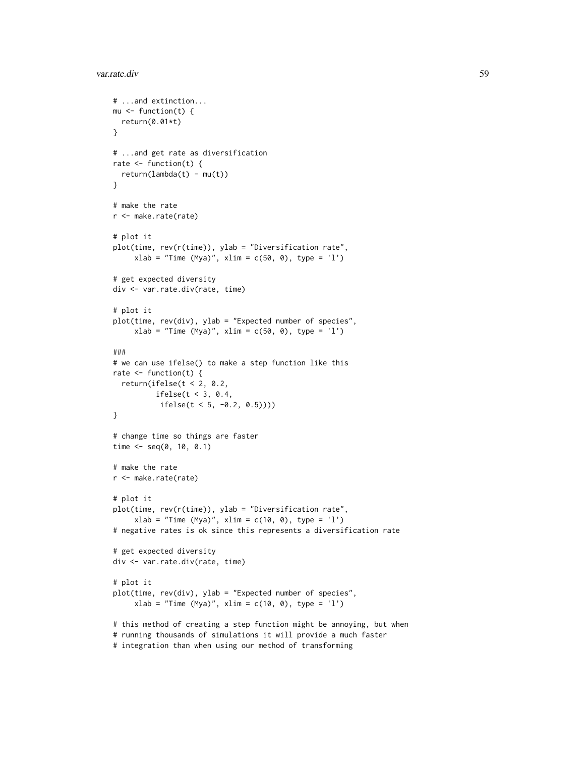```
# ...and extinction...
mu \leftarrow function(t) {
 return(0.01*t)
}
# ...and get rate as diversification
rate \le function(t) {
  return(lambda(t) - mu(t))}
# make the rate
r <- make.rate(rate)
# plot it
plot(time, rev(r(time)), ylab = "Diversification rate",
     xlab = "Time (Mya)", xlim = c(50, 0), type = 'l')# get expected diversity
div <- var.rate.div(rate, time)
# plot it
plot(time, rev(div), ylab = "Expected number of species",
     xlab = "Time (Mya)", xlim = c(50, 0), type = 'l')###
# we can use ifelse() to make a step function like this
rate \leq function(t) {
  return(ifelse(t < 2, 0.2,
         ifelse(t < 3, 0.4,
          ifelse(t < 5, -0.2, 0.5))))
}
# change time so things are faster
time <- seq(0, 10, 0.1)
# make the rate
r <- make.rate(rate)
# plot it
plot(time, rev(r(time)), ylab = "Diversification rate",
     xlab = "Time (Mya)", xlim = c(10, 0), type = 'l')# negative rates is ok since this represents a diversification rate
# get expected diversity
div <- var.rate.div(rate, time)
# plot it
plot(time, rev(div), ylab = "Expected number of species",
     xlab = "Time (Mya)", xlim = c(10, 0), type = 'l')# this method of creating a step function might be annoying, but when
# running thousands of simulations it will provide a much faster
```
# integration than when using our method of transforming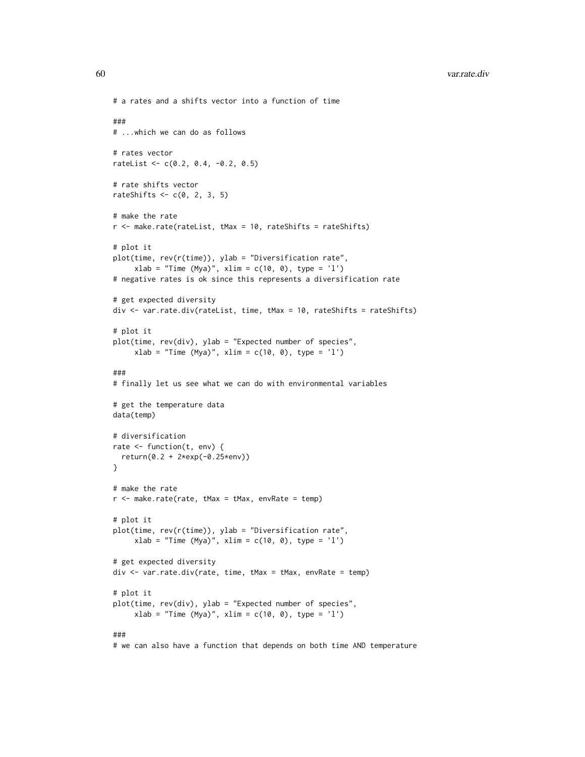```
# a rates and a shifts vector into a function of time
###
# ...which we can do as follows
# rates vector
rateList <- c(0.2, 0.4, -0.2, 0.5)
# rate shifts vector
rateShifts \leq c(0, 2, 3, 5)# make the rate
r <- make.rate(rateList, tMax = 10, rateShifts = rateShifts)
# plot it
plot(time, rev(r(time)), ylab = "Diversification rate",
     xlab = "Time (Mya)", xlim = c(10, 0), type = 'l')
# negative rates is ok since this represents a diversification rate
# get expected diversity
div <- var.rate.div(rateList, time, tMax = 10, rateShifts = rateShifts)
# plot it
plot(time, rev(div), ylab = "Expected number of species",
     xlab = "Time (Mya)", xlim = c(10, 0), type = 'l')###
# finally let us see what we can do with environmental variables
# get the temperature data
data(temp)
# diversification
rate <- function(t, env) {
  return(0.2 + 2*exp(-0.25*env))
}
# make the rate
r <- make.rate(rate, tMax = tMax, envRate = temp)
# plot it
plot(time, rev(r(time)), ylab = "Diversification rate",
     xlab = "Time (Mya)", xlim = c(10, 0), type = 'l')# get expected diversity
div <- var.rate.div(rate, time, tMax = tMax, envRate = temp)
# plot it
plot(time, rev(div), ylab = "Expected number of species",
     xlab = "Time (Mya)", xlim = c(10, 0), type = 'l')
```
# ###

# we can also have a function that depends on both time AND temperature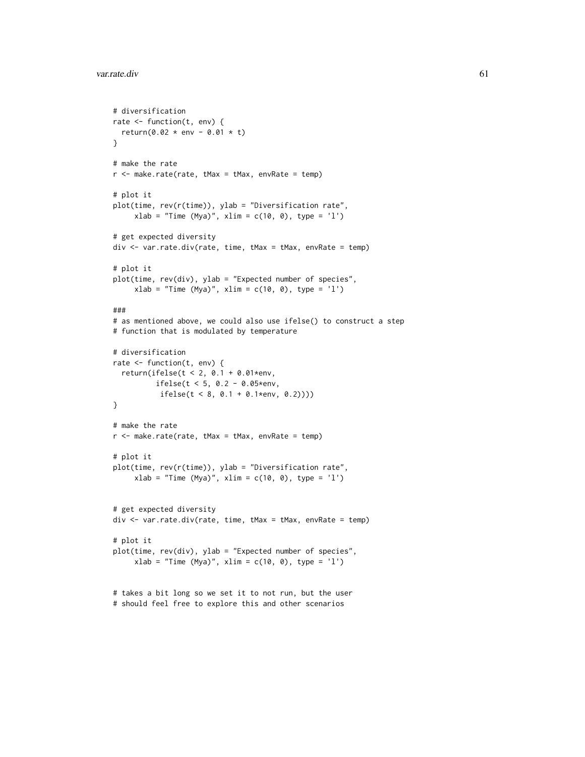```
# diversification
rate <- function(t, env) {
 return(0.02 * env - 0.01 * t)}
# make the rate
r <- make.rate(rate, tMax = tMax, envRate = temp)
# plot it
plot(time, rev(r(time)), ylab = "Diversification rate",
     xlab = "Time (Mya)", xlim = c(10, 0), type = 'l')# get expected diversity
div <- var.rate.div(rate, time, tMax = tMax, envRate = temp)
# plot it
plot(time, rev(div), ylab = "Expected number of species",
     xlab = "Time (Mya)", xlim = c(10, 0), type = 'l')###
# as mentioned above, we could also use ifelse() to construct a step
# function that is modulated by temperature
# diversification
rate <- function(t, env) {
  return(ifelse(t < 2, 0.1 + 0.01*env,
          ifelse(t < 5, 0.2 - 0.05*env,
           ifelse(t < 8, 0.1 + 0.1*env, 0.2))))
}
# make the rate
r <- make.rate(rate, tMax = tMax, envRate = temp)
# plot it
plot(time, rev(r(time)), ylab = "Diversification rate",
     xlab = "Time (Mya)", xlim = c(10, 0), type = 'l')# get expected diversity
div <- var.rate.div(rate, time, tMax = tMax, envRate = temp)
# plot it
plot(time, rev(div), ylab = "Expected number of species",
     xlab = "Time (Mya)", xlim = c(10, 0), type = 'l')# takes a bit long so we set it to not run, but the user
```
# should feel free to explore this and other scenarios